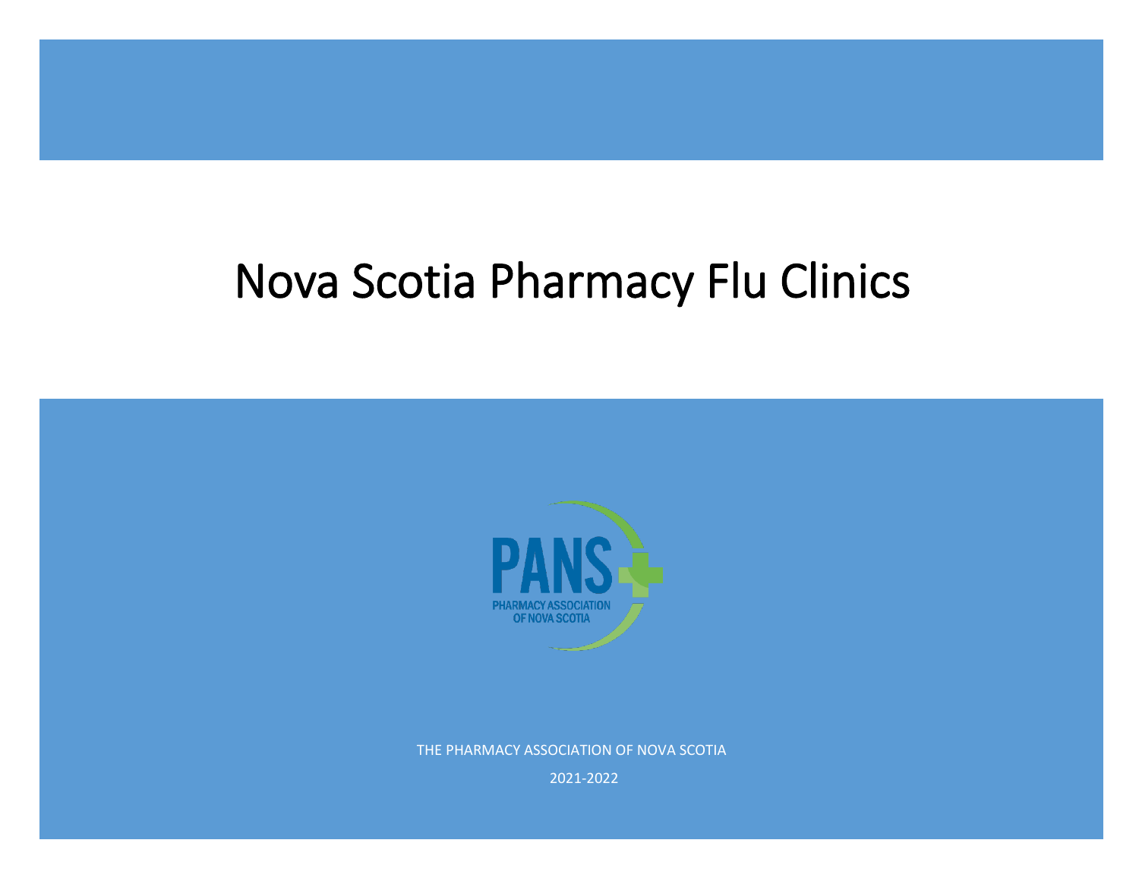# Nova Scotia Pharmacy Flu Clinics



THE PHARMACY ASSOCIATION OF NOVA SCOTIA

2021-2022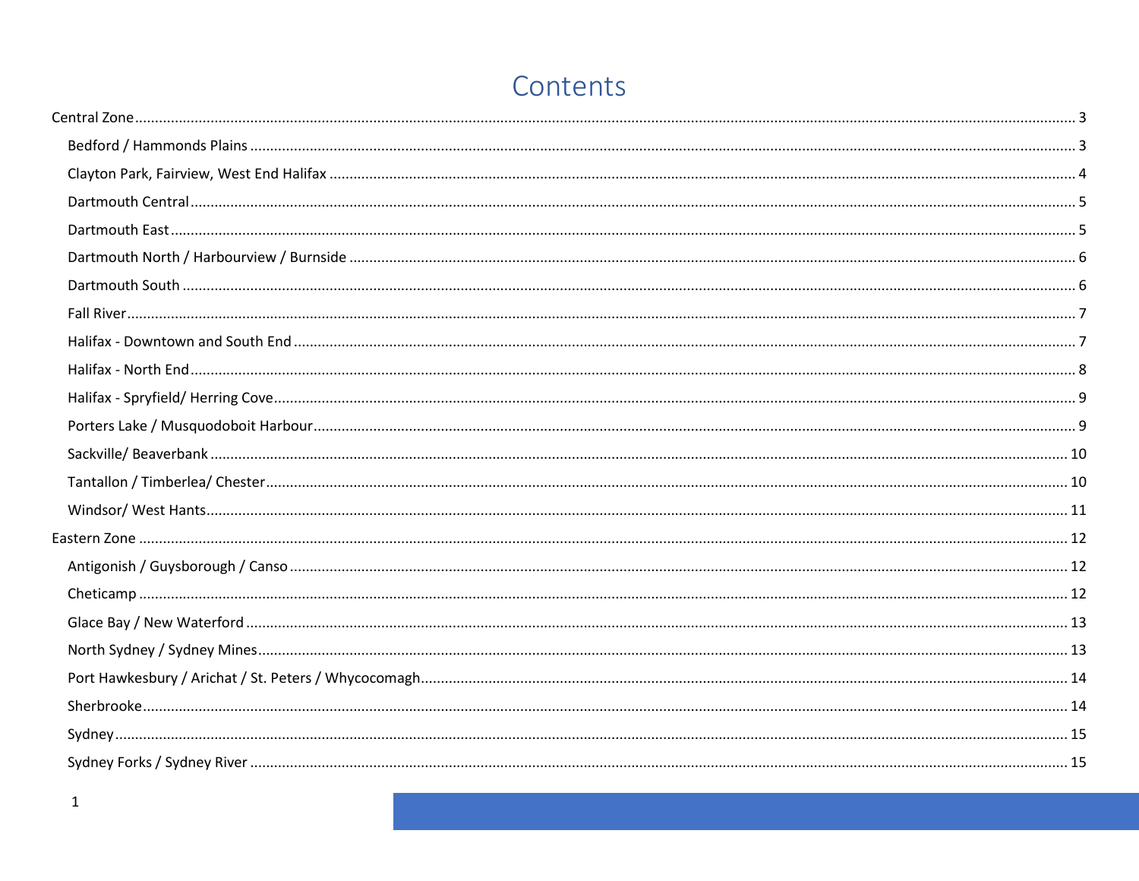# Contents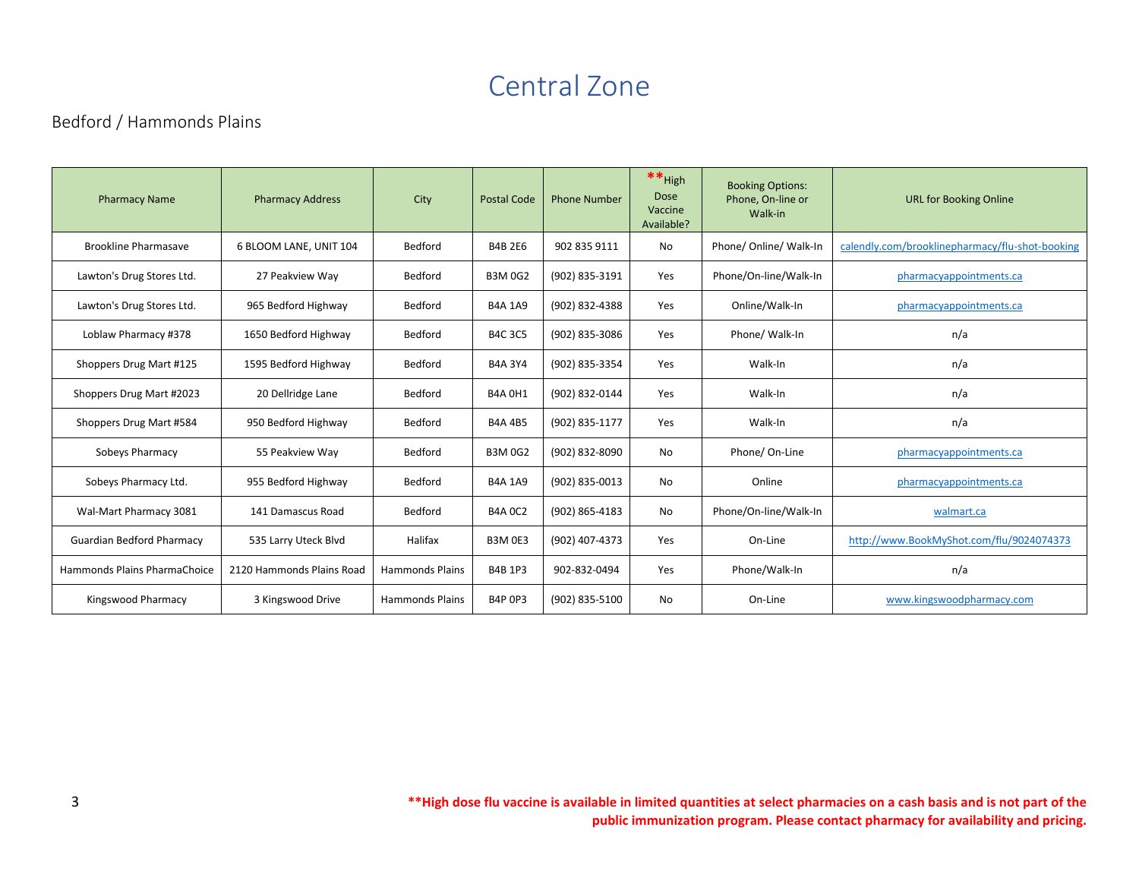# Central Zone

# <span id="page-3-1"></span><span id="page-3-0"></span>Bedford / Hammonds Plains

| <b>Pharmacy Name</b>             | <b>Pharmacy Address</b>   | City                   | <b>Postal Code</b> | <b>Phone Number</b> | $**$ High<br><b>Dose</b><br>Vaccine<br>Available? | <b>Booking Options:</b><br>Phone, On-line or<br>Walk-in | <b>URL for Booking Online</b>                   |
|----------------------------------|---------------------------|------------------------|--------------------|---------------------|---------------------------------------------------|---------------------------------------------------------|-------------------------------------------------|
| <b>Brookline Pharmasave</b>      | 6 BLOOM LANE, UNIT 104    | Bedford                | <b>B4B 2E6</b>     | 902 835 9111        | No.                                               | Phone/ Online/ Walk-In                                  | calendly.com/brooklinepharmacy/flu-shot-booking |
| Lawton's Drug Stores Ltd.        | 27 Peakview Way           | Bedford                | <b>B3M0G2</b>      | (902) 835-3191      | Yes                                               | Phone/On-line/Walk-In                                   | pharmacyappointments.ca                         |
| Lawton's Drug Stores Ltd.        | 965 Bedford Highway       | Bedford                | <b>B4A 1A9</b>     | (902) 832-4388      | Yes                                               | Online/Walk-In                                          | pharmacyappointments.ca                         |
| Loblaw Pharmacy #378             | 1650 Bedford Highway      | Bedford                | <b>B4C 3C5</b>     | (902) 835-3086      | Yes                                               | Phone/ Walk-In                                          | n/a                                             |
| Shoppers Drug Mart #125          | 1595 Bedford Highway      | Bedford                | <b>B4A 3Y4</b>     | (902) 835-3354      | Yes                                               | Walk-In                                                 | n/a                                             |
| Shoppers Drug Mart #2023         | 20 Dellridge Lane         | Bedford                | <b>B4A 0H1</b>     | (902) 832-0144      | Yes                                               | Walk-In                                                 | n/a                                             |
| Shoppers Drug Mart #584          | 950 Bedford Highway       | Bedford                | <b>B4A 4B5</b>     | (902) 835-1177      | Yes                                               | Walk-In                                                 | n/a                                             |
| Sobeys Pharmacy                  | 55 Peakview Way           | Bedford                | <b>B3M 0G2</b>     | (902) 832-8090      | No                                                | Phone/On-Line                                           | pharmacyappointments.ca                         |
| Sobeys Pharmacy Ltd.             | 955 Bedford Highway       | Bedford                | <b>B4A 1A9</b>     | (902) 835-0013      | No                                                | Online                                                  | pharmacyappointments.ca                         |
| Wal-Mart Pharmacy 3081           | 141 Damascus Road         | Bedford                | <b>B4A 0C2</b>     | (902) 865-4183      | No                                                | Phone/On-line/Walk-In                                   | walmart.ca                                      |
| <b>Guardian Bedford Pharmacy</b> | 535 Larry Uteck Blvd      | Halifax                | <b>B3M 0E3</b>     | (902) 407-4373      | Yes                                               | On-Line                                                 | http://www.BookMyShot.com/flu/9024074373        |
| Hammonds Plains PharmaChoice     | 2120 Hammonds Plains Road | <b>Hammonds Plains</b> | <b>B4B 1P3</b>     | 902-832-0494        | Yes                                               | Phone/Walk-In                                           | n/a                                             |
| Kingswood Pharmacy               | 3 Kingswood Drive         | <b>Hammonds Plains</b> | <b>B4P 0P3</b>     | (902) 835-5100      | No                                                | On-Line                                                 | www.kingswoodpharmacy.com                       |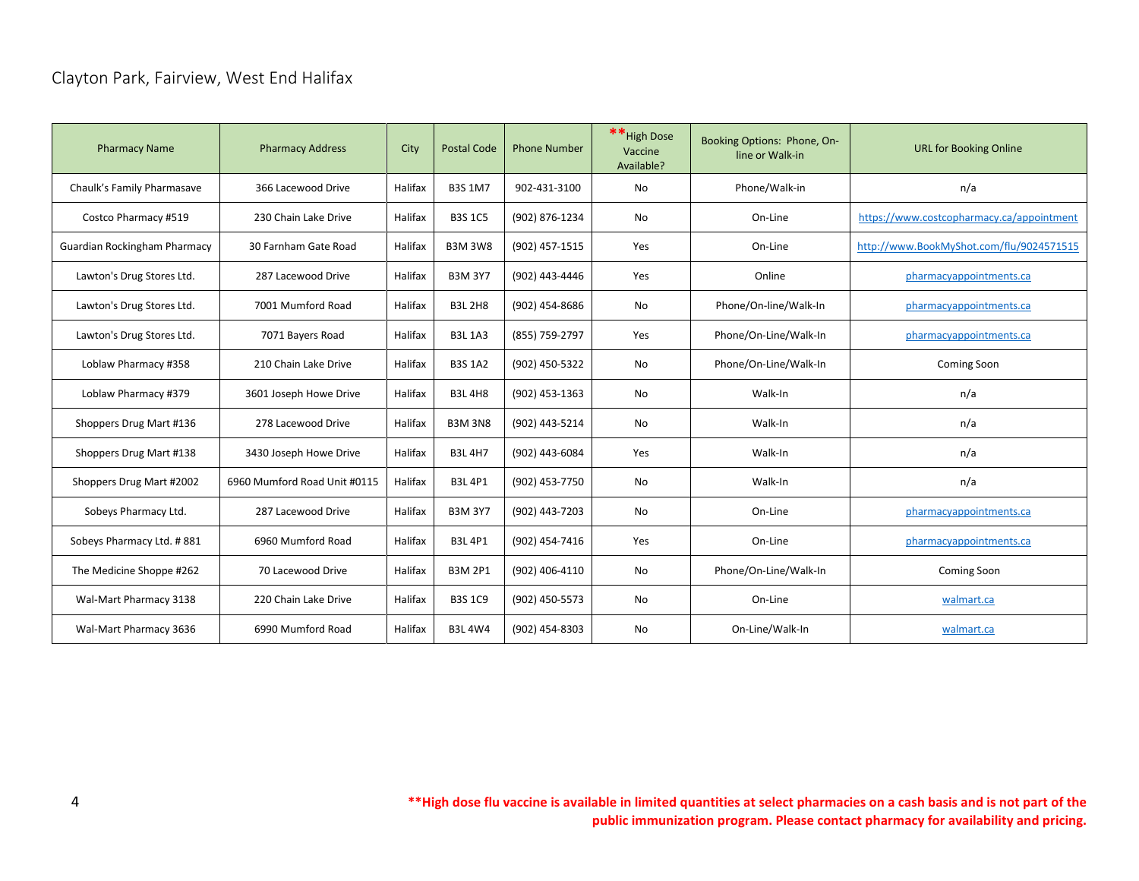# <span id="page-4-0"></span>Clayton Park, Fairview, West End Halifax

| <b>Pharmacy Name</b>         | <b>Pharmacy Address</b>      | City    | <b>Postal Code</b> | <b>Phone Number</b> | ** High Dose<br>Vaccine<br>Available? | Booking Options: Phone, On-<br>line or Walk-in | <b>URL for Booking Online</b>             |
|------------------------------|------------------------------|---------|--------------------|---------------------|---------------------------------------|------------------------------------------------|-------------------------------------------|
| Chaulk's Family Pharmasave   | 366 Lacewood Drive           | Halifax | <b>B3S 1M7</b>     | 902-431-3100        | <b>No</b>                             | Phone/Walk-in                                  | n/a                                       |
| Costco Pharmacy #519         | 230 Chain Lake Drive         | Halifax | <b>B3S 1C5</b>     | (902) 876-1234      | No                                    | On-Line                                        | https://www.costcopharmacy.ca/appointment |
| Guardian Rockingham Pharmacy | 30 Farnham Gate Road         | Halifax | <b>B3M 3W8</b>     | (902) 457-1515      | Yes                                   | On-Line                                        | http://www.BookMyShot.com/flu/9024571515  |
| Lawton's Drug Stores Ltd.    | 287 Lacewood Drive           | Halifax | <b>B3M 3Y7</b>     | (902) 443-4446      | Yes                                   | Online                                         | pharmacyappointments.ca                   |
| Lawton's Drug Stores Ltd.    | 7001 Mumford Road            | Halifax | <b>B3L 2H8</b>     | (902) 454-8686      | No                                    | Phone/On-line/Walk-In                          | pharmacyappointments.ca                   |
| Lawton's Drug Stores Ltd.    | 7071 Bayers Road             | Halifax | <b>B3L 1A3</b>     | (855) 759-2797      | Yes                                   | Phone/On-Line/Walk-In                          | pharmacyappointments.ca                   |
| Loblaw Pharmacy #358         | 210 Chain Lake Drive         | Halifax | <b>B3S 1A2</b>     | (902) 450-5322      | No                                    | Phone/On-Line/Walk-In                          | Coming Soon                               |
| Loblaw Pharmacy #379         | 3601 Joseph Howe Drive       | Halifax | <b>B3L4H8</b>      | (902) 453-1363      | No                                    | Walk-In                                        | n/a                                       |
| Shoppers Drug Mart #136      | 278 Lacewood Drive           | Halifax | <b>B3M 3N8</b>     | (902) 443-5214      | <b>No</b>                             | Walk-In                                        | n/a                                       |
| Shoppers Drug Mart #138      | 3430 Joseph Howe Drive       | Halifax | <b>B3L4H7</b>      | (902) 443-6084      | Yes                                   | Walk-In                                        | n/a                                       |
| Shoppers Drug Mart #2002     | 6960 Mumford Road Unit #0115 | Halifax | <b>B3L4P1</b>      | (902) 453-7750      | No                                    | Walk-In                                        | n/a                                       |
| Sobeys Pharmacy Ltd.         | 287 Lacewood Drive           | Halifax | <b>B3M 3Y7</b>     | (902) 443-7203      | No                                    | On-Line                                        | pharmacyappointments.ca                   |
| Sobeys Pharmacy Ltd. #881    | 6960 Mumford Road            | Halifax | <b>B3L4P1</b>      | (902) 454-7416      | Yes                                   | On-Line                                        | pharmacyappointments.ca                   |
| The Medicine Shoppe #262     | 70 Lacewood Drive            | Halifax | <b>B3M 2P1</b>     | (902) 406-4110      | No                                    | Phone/On-Line/Walk-In                          | <b>Coming Soon</b>                        |
| Wal-Mart Pharmacy 3138       | 220 Chain Lake Drive         | Halifax | <b>B3S 1C9</b>     | (902) 450-5573      | No                                    | On-Line                                        | walmart.ca                                |
| Wal-Mart Pharmacy 3636       | 6990 Mumford Road            | Halifax | <b>B3L4W4</b>      | (902) 454-8303      | No                                    | On-Line/Walk-In                                | walmart.ca                                |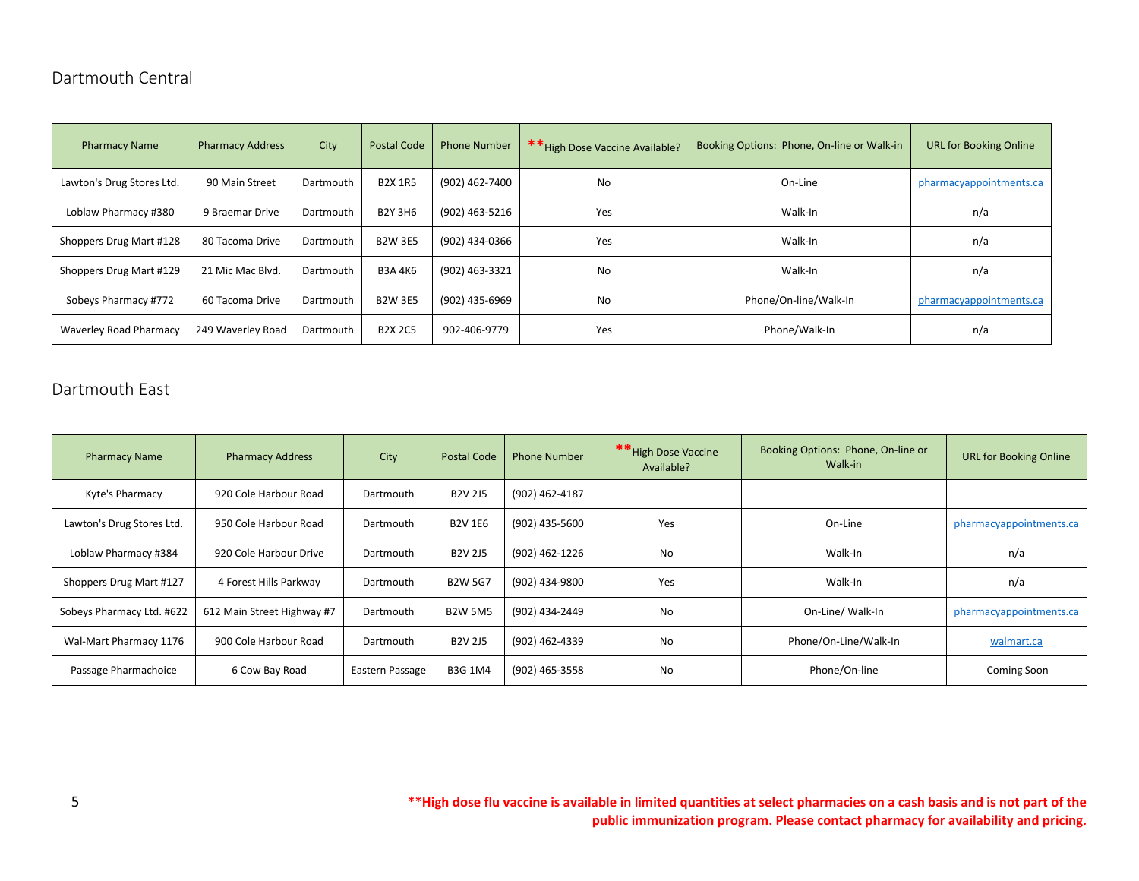# <span id="page-5-0"></span>Dartmouth Central

| <b>Pharmacy Name</b>      | <b>Pharmacy Address</b> | City      | <b>Postal Code</b> | <b>Phone Number</b> | ** High Dose Vaccine Available? | Booking Options: Phone, On-line or Walk-in | <b>URL for Booking Online</b> |
|---------------------------|-------------------------|-----------|--------------------|---------------------|---------------------------------|--------------------------------------------|-------------------------------|
| Lawton's Drug Stores Ltd. | 90 Main Street          | Dartmouth | <b>B2X 1R5</b>     | (902) 462-7400      | No<br>On-Line                   |                                            | pharmacyappointments.ca       |
| Loblaw Pharmacy #380      | 9 Braemar Drive         | Dartmouth | <b>B2Y 3H6</b>     | (902) 463-5216      | Yes                             | Walk-In                                    | n/a                           |
| Shoppers Drug Mart #128   | 80 Tacoma Drive         | Dartmouth | <b>B2W 3E5</b>     | (902) 434-0366      | Yes                             | Walk-In                                    | n/a                           |
| Shoppers Drug Mart #129   | 21 Mic Mac Blvd.        | Dartmouth | <b>B3A4K6</b>      | (902) 463-3321      | No                              | Walk-In                                    | n/a                           |
| Sobeys Pharmacy #772      | 60 Tacoma Drive         | Dartmouth | <b>B2W 3E5</b>     | (902) 435-6969      | No                              | Phone/On-line/Walk-In                      | pharmacyappointments.ca       |
| Waverley Road Pharmacy    | 249 Waverley Road       | Dartmouth | <b>B2X 2C5</b>     | 902-406-9779        | Yes                             | Phone/Walk-In                              | n/a                           |

# <span id="page-5-1"></span>Dartmouth East

| <b>Pharmacy Name</b>      | <b>Pharmacy Address</b>    | City            | <b>Postal Code</b> | <b>Phone Number</b> | ** High Dose Vaccine<br>Available? | Booking Options: Phone, On-line or<br>Walk-in | <b>URL for Booking Online</b> |
|---------------------------|----------------------------|-----------------|--------------------|---------------------|------------------------------------|-----------------------------------------------|-------------------------------|
| Kyte's Pharmacy           | 920 Cole Harbour Road      | Dartmouth       | <b>B2V 2J5</b>     | (902) 462-4187      |                                    |                                               |                               |
| Lawton's Drug Stores Ltd. | 950 Cole Harbour Road      | Dartmouth       | <b>B2V 1E6</b>     | (902) 435-5600      | Yes                                | On-Line                                       | pharmacyappointments.ca       |
| Loblaw Pharmacy #384      | 920 Cole Harbour Drive     | Dartmouth       | <b>B2V 2J5</b>     | (902) 462-1226      | No                                 | Walk-In                                       | n/a                           |
| Shoppers Drug Mart #127   | 4 Forest Hills Parkway     | Dartmouth       | <b>B2W 5G7</b>     | (902) 434-9800      | Yes                                | Walk-In                                       | n/a                           |
| Sobeys Pharmacy Ltd. #622 | 612 Main Street Highway #7 | Dartmouth       | <b>B2W 5M5</b>     | (902) 434-2449      | No                                 | On-Line/ Walk-In                              | pharmacyappointments.ca       |
| Wal-Mart Pharmacy 1176    | 900 Cole Harbour Road      | Dartmouth       | <b>B2V 2J5</b>     | (902) 462-4339      | No                                 | Phone/On-Line/Walk-In                         | walmart.ca                    |
| Passage Pharmachoice      | 6 Cow Bay Road             | Eastern Passage | <b>B3G 1M4</b>     | (902) 465-3558      | No                                 | Phone/On-line                                 | Coming Soon                   |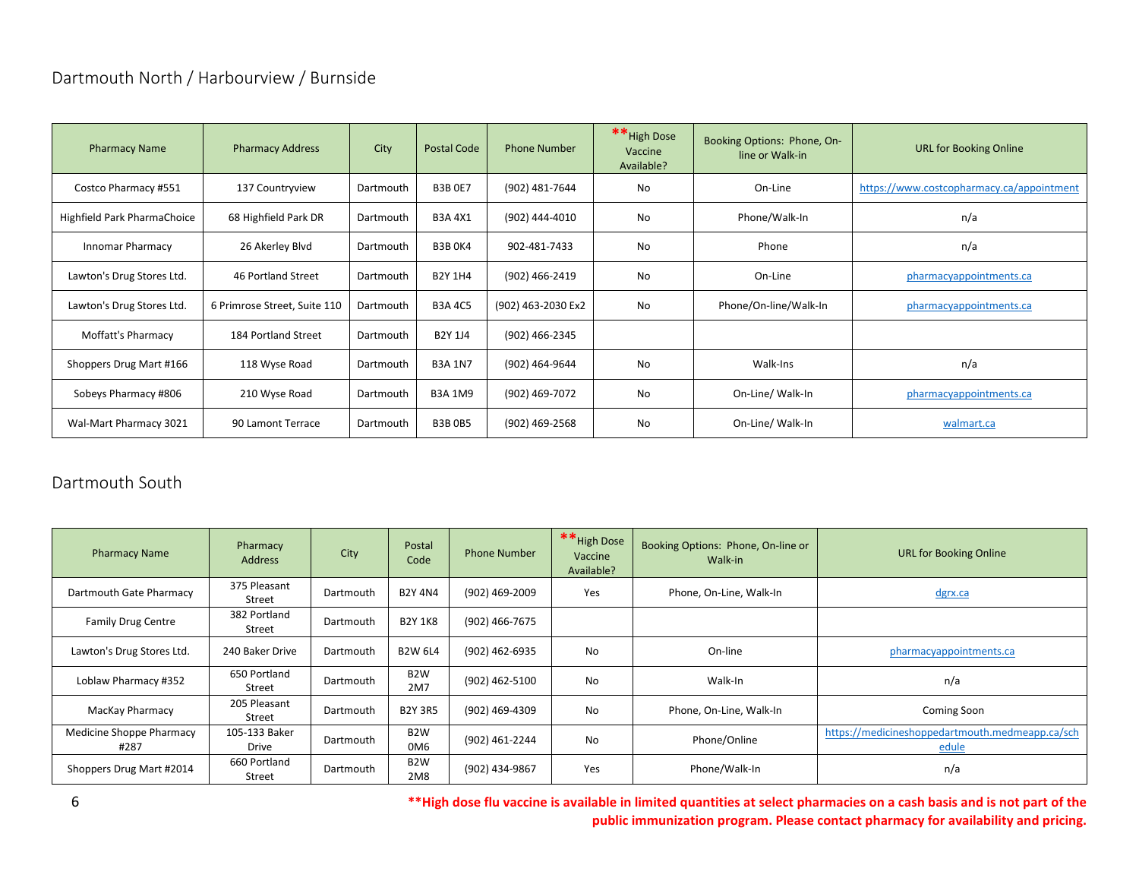# <span id="page-6-0"></span>Dartmouth North / Harbourview / Burnside

| <b>Pharmacy Name</b>        | <b>Pharmacy Address</b>      | City      | <b>Postal Code</b> | <b>Phone Number</b> | ** High Dose<br>Vaccine<br>Available? | Booking Options: Phone, On-<br>line or Walk-in | <b>URL for Booking Online</b>             |
|-----------------------------|------------------------------|-----------|--------------------|---------------------|---------------------------------------|------------------------------------------------|-------------------------------------------|
| Costco Pharmacy #551        | 137 Countryview              | Dartmouth | <b>B3B 0E7</b>     | (902) 481-7644      | No                                    | On-Line                                        | https://www.costcopharmacy.ca/appointment |
| Highfield Park PharmaChoice | 68 Highfield Park DR         | Dartmouth | <b>B3A 4X1</b>     | (902) 444-4010      | No                                    | Phone/Walk-In                                  | n/a                                       |
| Innomar Pharmacy            | 26 Akerley Blvd              | Dartmouth | <b>B3B OK4</b>     | 902-481-7433        | No                                    | Phone                                          | n/a                                       |
| Lawton's Drug Stores Ltd.   | 46 Portland Street           | Dartmouth | <b>B2Y 1H4</b>     | (902) 466-2419      | No                                    | On-Line                                        | pharmacyappointments.ca                   |
| Lawton's Drug Stores Ltd.   | 6 Primrose Street, Suite 110 | Dartmouth | <b>B3A 4C5</b>     | (902) 463-2030 Ex2  | No                                    | Phone/On-line/Walk-In                          | pharmacyappointments.ca                   |
| Moffatt's Pharmacy          | 184 Portland Street          | Dartmouth | <b>B2Y 1J4</b>     | (902) 466-2345      |                                       |                                                |                                           |
| Shoppers Drug Mart #166     | 118 Wyse Road                | Dartmouth | <b>B3A 1N7</b>     | (902) 464-9644      | No                                    | Walk-Ins                                       | n/a                                       |
| Sobeys Pharmacy #806        | 210 Wyse Road                | Dartmouth | <b>B3A 1M9</b>     | (902) 469-7072      | No                                    | On-Line/ Walk-In                               | pharmacyappointments.ca                   |
| Wal-Mart Pharmacy 3021      | 90 Lamont Terrace            | Dartmouth | <b>B3B0B5</b>      | (902) 469-2568      | No                                    | On-Line/ Walk-In                               | walmart.ca                                |

# <span id="page-6-1"></span>Dartmouth South

| <b>Pharmacy Name</b>             | Pharmacy<br><b>Address</b> | City      | Postal<br>Code          | <b>Phone Number</b> | ** High Dose<br>Vaccine<br>Available? | Booking Options: Phone, On-line or<br>Walk-in | <b>URL for Booking Online</b>                            |
|----------------------------------|----------------------------|-----------|-------------------------|---------------------|---------------------------------------|-----------------------------------------------|----------------------------------------------------------|
| Dartmouth Gate Pharmacy          | 375 Pleasant<br>Street     | Dartmouth | <b>B2Y 4N4</b>          | (902) 469-2009      | Yes                                   | Phone, On-Line, Walk-In                       | dgrx.ca                                                  |
| <b>Family Drug Centre</b>        | 382 Portland<br>Street     | Dartmouth | <b>B2Y 1K8</b>          | (902) 466-7675      |                                       |                                               |                                                          |
| Lawton's Drug Stores Ltd.        | 240 Baker Drive            | Dartmouth | <b>B2W 6L4</b>          | (902) 462-6935      | No                                    | On-line                                       | pharmacyappointments.ca                                  |
| Loblaw Pharmacy #352             | 650 Portland<br>Street     | Dartmouth | B <sub>2</sub> W<br>2M7 | (902) 462-5100      | No                                    | Walk-In                                       | n/a                                                      |
| MacKay Pharmacy                  | 205 Pleasant<br>Street     | Dartmouth | <b>B2Y 3R5</b>          | (902) 469-4309      | No                                    | Phone, On-Line, Walk-In                       | Coming Soon                                              |
| Medicine Shoppe Pharmacy<br>#287 | 105-133 Baker<br>Drive     | Dartmouth | B <sub>2</sub> W<br>0M6 | (902) 461-2244      | No                                    | Phone/Online                                  | https://medicineshoppedartmouth.medmeapp.ca/sch<br>edule |
| Shoppers Drug Mart #2014         | 660 Portland<br>Street     | Dartmouth | B <sub>2</sub> W<br>2M8 | (902) 434-9867      | Yes                                   | Phone/Walk-In                                 | n/a                                                      |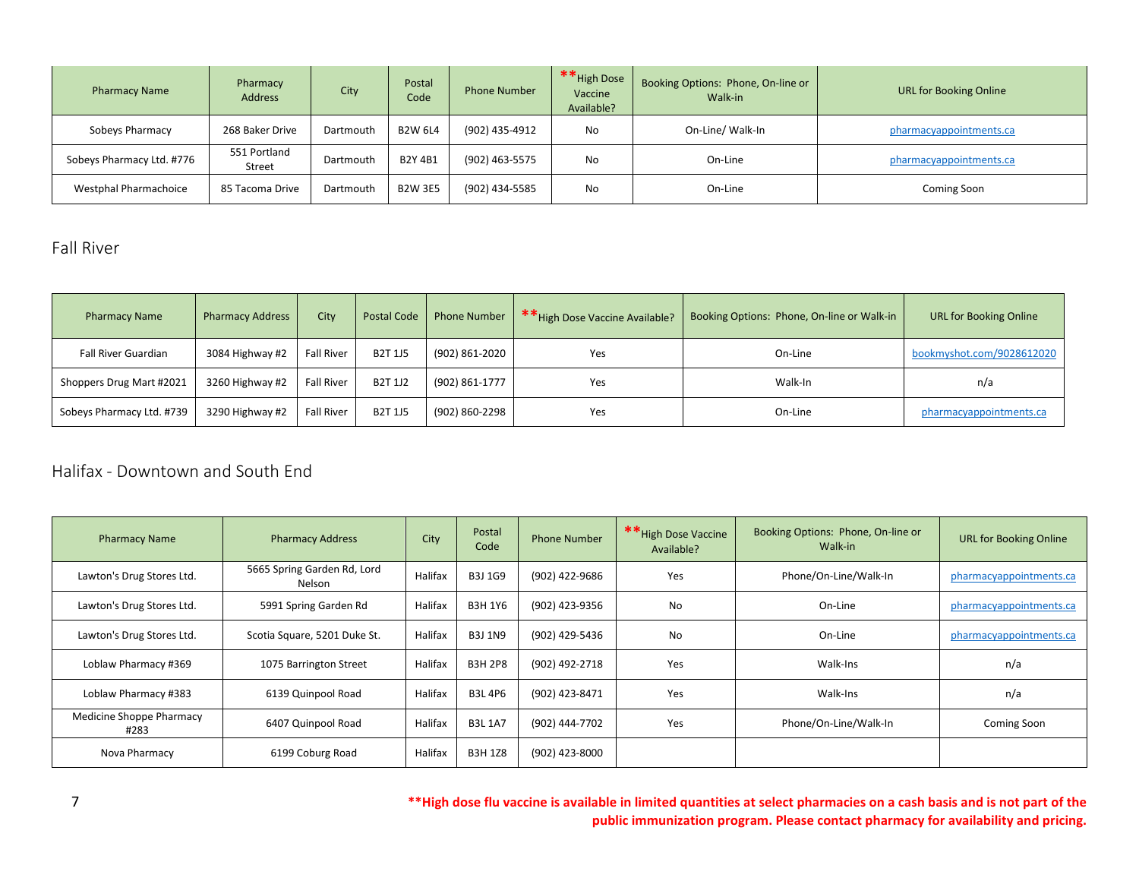| <b>Pharmacy Name</b>      | Pharmacy<br><b>Address</b> | City      | Postal<br>Code | <b>Phone Number</b> | ** High Dose<br>Vaccine<br>Available? | Booking Options: Phone, On-line or<br>Walk-in | <b>URL for Booking Online</b> |
|---------------------------|----------------------------|-----------|----------------|---------------------|---------------------------------------|-----------------------------------------------|-------------------------------|
| Sobeys Pharmacy           | 268 Baker Drive            | Dartmouth | <b>B2W 6L4</b> | (902) 435-4912      | No.                                   | On-Line/ Walk-In                              | pharmacyappointments.ca       |
| Sobeys Pharmacy Ltd. #776 | 551 Portland<br>Street     | Dartmouth | <b>B2Y 4B1</b> | (902) 463-5575      | No.                                   | On-Line                                       | pharmacyappointments.ca       |
| Westphal Pharmachoice     | 85 Tacoma Drive            | Dartmouth | <b>B2W 3E5</b> | (902) 434-5585      | No                                    | On-Line                                       | Coming Soon                   |

### <span id="page-7-0"></span>Fall River

| <b>Pharmacy Name</b>      | <b>Pharmacy Address</b> | City              | <b>Postal Code</b> | <b>Phone Number</b> | <b>**</b> High Dose Vaccine Available? | Booking Options: Phone, On-line or Walk-in | <b>URL for Booking Online</b> |
|---------------------------|-------------------------|-------------------|--------------------|---------------------|----------------------------------------|--------------------------------------------|-------------------------------|
| Fall River Guardian       | 3084 Highway #2         | <b>Fall River</b> | <b>B2T 1J5</b>     | (902) 861-2020      | Yes                                    | On-Line                                    | bookmyshot.com/9028612020     |
| Shoppers Drug Mart #2021  | 3260 Highway #2         | <b>Fall River</b> | <b>B2T 1J2</b>     | (902) 861-1777      | Yes                                    | Walk-In                                    | n/a                           |
| Sobeys Pharmacy Ltd. #739 | 3290 Highway #2         | <b>Fall River</b> | <b>B2T 1J5</b>     | (902) 860-2298      | Yes                                    | On-Line                                    | pharmacyappointments.ca       |

#### <span id="page-7-1"></span>Halifax - Downtown and South End

| <b>Pharmacy Name</b>             | <b>Pharmacy Address</b>               | City    | Postal<br>Code | <b>Phone Number</b> | ** High Dose Vaccine<br>Available? | Booking Options: Phone, On-line or<br>Walk-in | <b>URL for Booking Online</b> |
|----------------------------------|---------------------------------------|---------|----------------|---------------------|------------------------------------|-----------------------------------------------|-------------------------------|
| Lawton's Drug Stores Ltd.        | 5665 Spring Garden Rd, Lord<br>Nelson | Halifax | <b>B3J 1G9</b> | (902) 422-9686      | Yes                                | Phone/On-Line/Walk-In                         | pharmacyappointments.ca       |
| Lawton's Drug Stores Ltd.        | 5991 Spring Garden Rd                 | Halifax | <b>B3H 1Y6</b> | (902) 423-9356      | No                                 | On-Line                                       | pharmacyappointments.ca       |
| Lawton's Drug Stores Ltd.        | Scotia Square, 5201 Duke St.          | Halifax | <b>B3J 1N9</b> | (902) 429-5436      | No                                 | On-Line                                       | pharmacyappointments.ca       |
| Loblaw Pharmacy #369             | 1075 Barrington Street                | Halifax | <b>B3H 2P8</b> | (902) 492-2718      | Yes                                | Walk-Ins                                      | n/a                           |
| Loblaw Pharmacy #383             | 6139 Quinpool Road                    | Halifax | <b>B3L4P6</b>  | (902) 423-8471      | Yes                                | Walk-Ins                                      | n/a                           |
| Medicine Shoppe Pharmacy<br>#283 | 6407 Quinpool Road                    | Halifax | <b>B3L 1A7</b> | (902) 444-7702      | Yes                                | Phone/On-Line/Walk-In                         | Coming Soon                   |
| Nova Pharmacy                    | 6199 Coburg Road                      | Halifax | <b>B3H1Z8</b>  | (902) 423-8000      |                                    |                                               |                               |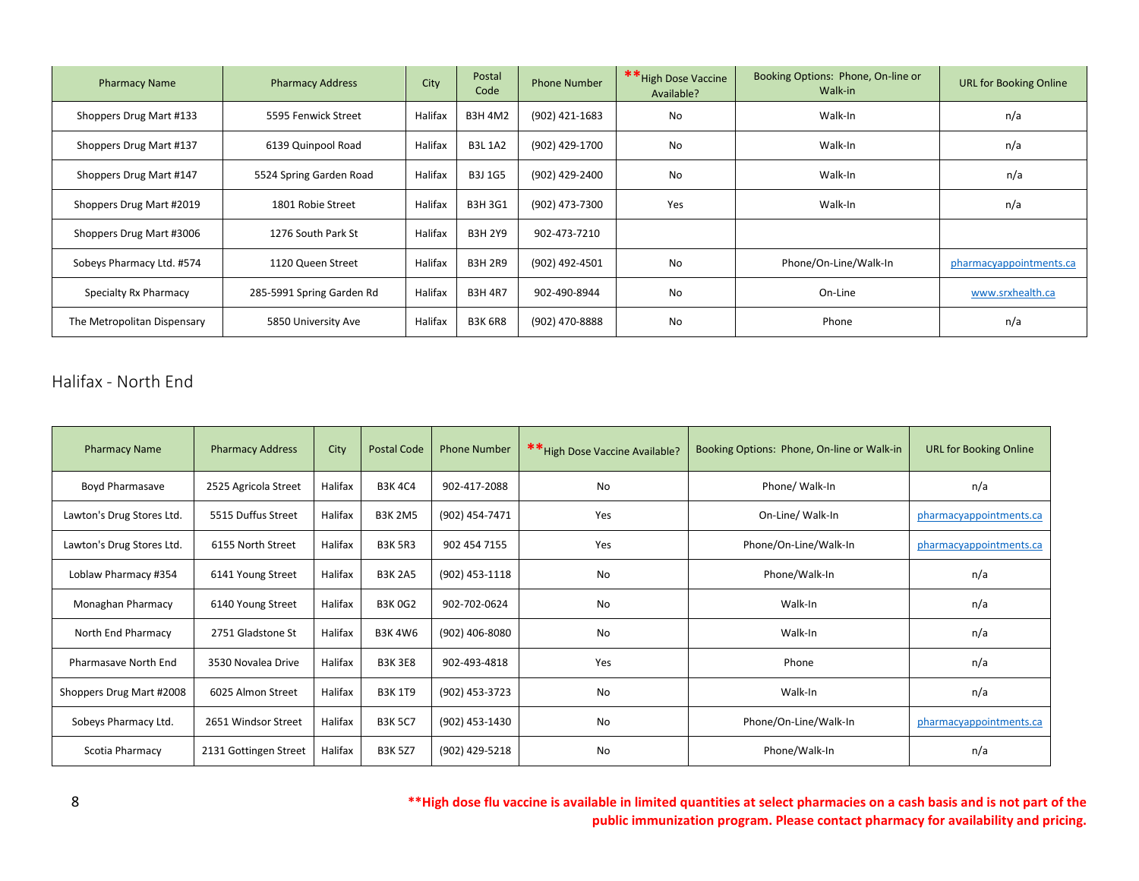| <b>Pharmacy Name</b>        | <b>Pharmacy Address</b>   | City    | Postal<br>Code | <b>Phone Number</b> | ** High Dose Vaccine<br>Available? | Booking Options: Phone, On-line or<br>Walk-in | <b>URL for Booking Online</b> |
|-----------------------------|---------------------------|---------|----------------|---------------------|------------------------------------|-----------------------------------------------|-------------------------------|
| Shoppers Drug Mart #133     | 5595 Fenwick Street       | Halifax | <b>B3H 4M2</b> | (902) 421-1683      | No                                 | Walk-In                                       | n/a                           |
| Shoppers Drug Mart #137     | 6139 Quinpool Road        | Halifax | <b>B3L 1A2</b> | (902) 429-1700      | <b>No</b>                          | Walk-In                                       | n/a                           |
| Shoppers Drug Mart #147     | 5524 Spring Garden Road   | Halifax | <b>B3J 1G5</b> | (902) 429-2400      | No                                 | Walk-In                                       | n/a                           |
| Shoppers Drug Mart #2019    | 1801 Robie Street         | Halifax | B3H 3G1        | (902) 473-7300      | <b>Yes</b>                         | Walk-In                                       | n/a                           |
| Shoppers Drug Mart #3006    | 1276 South Park St        | Halifax | <b>B3H 2Y9</b> | 902-473-7210        |                                    |                                               |                               |
| Sobeys Pharmacy Ltd. #574   | 1120 Queen Street         | Halifax | <b>B3H 2R9</b> | (902) 492-4501      | No                                 | Phone/On-Line/Walk-In                         | pharmacyappointments.ca       |
| Specialty Rx Pharmacy       | 285-5991 Spring Garden Rd | Halifax | <b>B3H 4R7</b> | 902-490-8944        | No                                 | On-Line                                       | www.srxhealth.ca              |
| The Metropolitan Dispensary | 5850 University Ave       | Halifax | <b>B3K 6R8</b> | (902) 470-8888      | No                                 | Phone                                         | n/a                           |

### <span id="page-8-0"></span>Halifax - North End

| <b>Pharmacy Name</b>      | <b>Pharmacy Address</b> | City    | <b>Postal Code</b> | <b>Phone Number</b> | ** High Dose Vaccine Available? | Booking Options: Phone, On-line or Walk-in | <b>URL for Booking Online</b> |
|---------------------------|-------------------------|---------|--------------------|---------------------|---------------------------------|--------------------------------------------|-------------------------------|
| Boyd Pharmasave           | 2525 Agricola Street    | Halifax | <b>B3K4C4</b>      | 902-417-2088        | No                              | Phone/ Walk-In                             | n/a                           |
| Lawton's Drug Stores Ltd. | 5515 Duffus Street      | Halifax | <b>B3K 2M5</b>     | (902) 454-7471      | Yes                             | On-Line/ Walk-In                           | pharmacyappointments.ca       |
| Lawton's Drug Stores Ltd. | 6155 North Street       | Halifax | <b>B3K 5R3</b>     | 902 454 7155        | Yes                             | Phone/On-Line/Walk-In                      | pharmacyappointments.ca       |
| Loblaw Pharmacy #354      | 6141 Young Street       | Halifax | <b>B3K 2A5</b>     | (902) 453-1118      | <b>No</b>                       | Phone/Walk-In                              | n/a                           |
| Monaghan Pharmacy         | 6140 Young Street       | Halifax | <b>B3K0G2</b>      | 902-702-0624        | No                              | Walk-In                                    | n/a                           |
| North End Pharmacy        | 2751 Gladstone St       | Halifax | <b>B3K4W6</b>      | (902) 406-8080      | No                              | Walk-In                                    | n/a                           |
| Pharmasave North End      | 3530 Novalea Drive      | Halifax | <b>B3K3E8</b>      | 902-493-4818        | Yes                             | Phone                                      | n/a                           |
| Shoppers Drug Mart #2008  | 6025 Almon Street       | Halifax | <b>B3K 1T9</b>     | (902) 453-3723      | No                              | Walk-In                                    | n/a                           |
| Sobeys Pharmacy Ltd.      | 2651 Windsor Street     | Halifax | <b>B3K 5C7</b>     | (902) 453-1430      | No                              | Phone/On-Line/Walk-In                      | pharmacyappointments.ca       |
| Scotia Pharmacy           | 2131 Gottingen Street   | Halifax | <b>B3K 5Z7</b>     | (902) 429-5218      | No                              | Phone/Walk-In                              | n/a                           |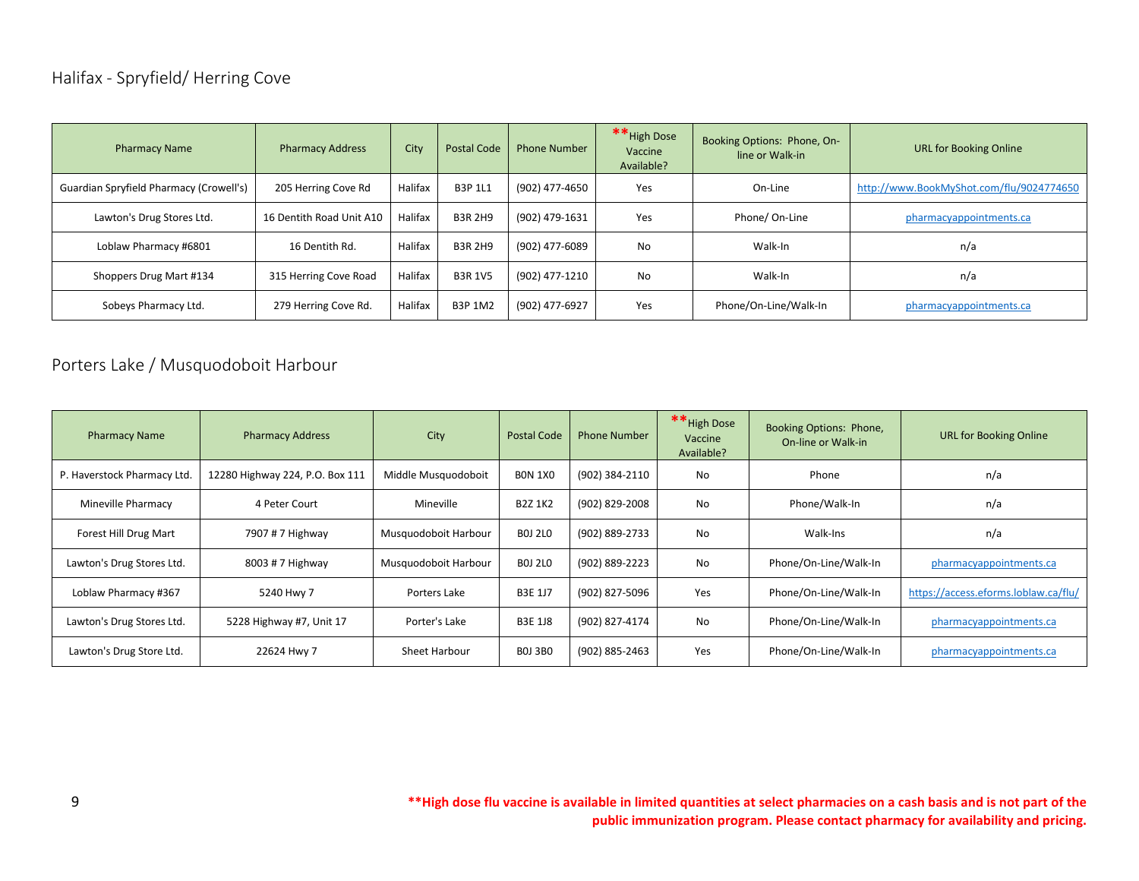# <span id="page-9-0"></span>Halifax - Spryfield/ Herring Cove

| <b>Pharmacy Name</b>                    | <b>Pharmacy Address</b>  | City    | <b>Postal Code</b> | <b>Phone Number</b> | ** High Dose<br>Vaccine<br>Available? | Booking Options: Phone, On-<br>line or Walk-in | <b>URL for Booking Online</b>            |
|-----------------------------------------|--------------------------|---------|--------------------|---------------------|---------------------------------------|------------------------------------------------|------------------------------------------|
| Guardian Spryfield Pharmacy (Crowell's) | 205 Herring Cove Rd      | Halifax | <b>B3P 1L1</b>     | (902) 477-4650      | Yes                                   | On-Line                                        | http://www.BookMyShot.com/flu/9024774650 |
| Lawton's Drug Stores Ltd.               | 16 Dentith Road Unit A10 | Halifax | <b>B3R 2H9</b>     | (902) 479-1631      | Yes                                   | Phone/On-Line                                  | pharmacyappointments.ca                  |
| Loblaw Pharmacy #6801                   | 16 Dentith Rd.           | Halifax | <b>B3R 2H9</b>     | (902) 477-6089      | No                                    | Walk-In                                        | n/a                                      |
| Shoppers Drug Mart #134                 | 315 Herring Cove Road    | Halifax | <b>B3R 1V5</b>     | (902) 477-1210      | No                                    | Walk-In                                        | n/a                                      |
| Sobeys Pharmacy Ltd.                    | 279 Herring Cove Rd.     | Halifax | <b>B3P 1M2</b>     | (902) 477-6927      | Yes                                   | Phone/On-Line/Walk-In                          | pharmacyappointments.ca                  |

# <span id="page-9-1"></span>Porters Lake / Musquodoboit Harbour

| <b>Pharmacy Name</b>        | <b>Pharmacy Address</b>         | City                 | Postal Code    | <b>Phone Number</b> | ** High Dose<br>Vaccine<br>Available? | Booking Options: Phone,<br>On-line or Walk-in | <b>URL for Booking Online</b>        |
|-----------------------------|---------------------------------|----------------------|----------------|---------------------|---------------------------------------|-----------------------------------------------|--------------------------------------|
| P. Haverstock Pharmacy Ltd. | 12280 Highway 224, P.O. Box 111 | Middle Musquodoboit  | <b>BON 1X0</b> | (902) 384-2110      | No                                    | Phone                                         | n/a                                  |
| Mineville Pharmacy          | 4 Peter Court                   | Mineville            | <b>B2Z 1K2</b> | (902) 829-2008      | No                                    | Phone/Walk-In                                 | n/a                                  |
| Forest Hill Drug Mart       | 7907 # 7 Highway                | Musquodoboit Harbour | <b>BOJ 2LO</b> | (902) 889-2733      | No                                    | Walk-Ins                                      | n/a                                  |
| Lawton's Drug Stores Ltd.   | 8003 # 7 Highway                | Musquodoboit Harbour | <b>BOJ 2LO</b> | (902) 889-2223      | No                                    | Phone/On-Line/Walk-In                         | pharmacyappointments.ca              |
| Loblaw Pharmacy #367        | 5240 Hwy 7                      | Porters Lake         | <b>B3E 1J7</b> | (902) 827-5096      | Yes                                   | Phone/On-Line/Walk-In                         | https://access.eforms.loblaw.ca/flu/ |
| Lawton's Drug Stores Ltd.   | 5228 Highway #7, Unit 17        | Porter's Lake        | <b>B3E 1J8</b> | (902) 827-4174      | No                                    | Phone/On-Line/Walk-In                         | pharmacyappointments.ca              |
| Lawton's Drug Store Ltd.    | 22624 Hwy 7                     | Sheet Harbour        | <b>BOJ 3BO</b> | (902) 885-2463      | Yes                                   | Phone/On-Line/Walk-In                         | pharmacyappointments.ca              |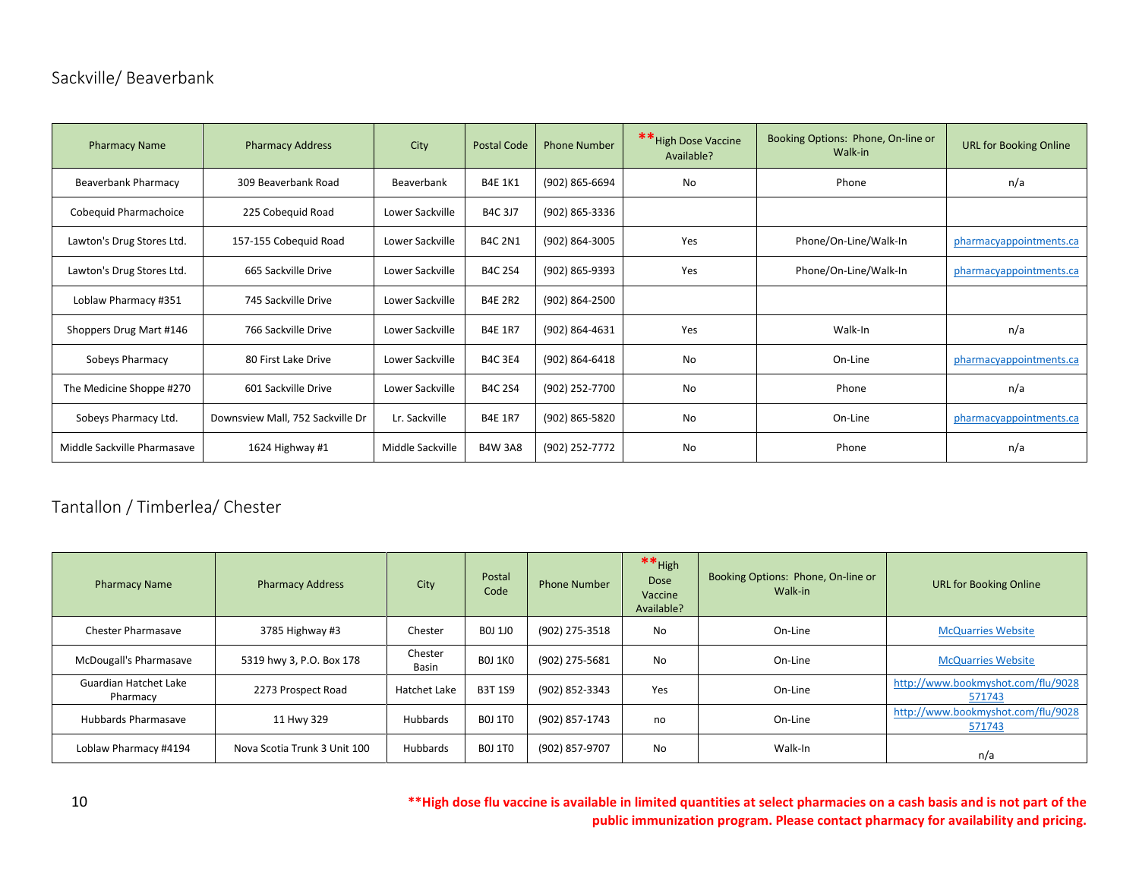# <span id="page-10-0"></span>Sackville/ Beaverbank

| <b>Pharmacy Name</b>        | <b>Pharmacy Address</b>          | City             | <b>Postal Code</b> | <b>Phone Number</b> | ** High Dose Vaccine<br>Available? | Booking Options: Phone, On-line or<br>Walk-in | <b>URL for Booking Online</b> |
|-----------------------------|----------------------------------|------------------|--------------------|---------------------|------------------------------------|-----------------------------------------------|-------------------------------|
| <b>Beaverbank Pharmacy</b>  | 309 Beaverbank Road              | Beaverbank       | <b>B4E 1K1</b>     | (902) 865-6694      | No                                 | Phone                                         | n/a                           |
| Cobeguid Pharmachoice       | 225 Cobeguid Road                | Lower Sackville  | <b>B4C 3J7</b>     | (902) 865-3336      |                                    |                                               |                               |
| Lawton's Drug Stores Ltd.   | 157-155 Cobequid Road            | Lower Sackville  | <b>B4C 2N1</b>     | (902) 864-3005      | Yes                                | Phone/On-Line/Walk-In                         | pharmacyappointments.ca       |
| Lawton's Drug Stores Ltd.   | 665 Sackville Drive              | Lower Sackville  | <b>B4C 2S4</b>     | (902) 865-9393      | Yes                                | Phone/On-Line/Walk-In                         | pharmacyappointments.ca       |
| Loblaw Pharmacy #351        | 745 Sackville Drive              | Lower Sackville  | <b>B4E 2R2</b>     | (902) 864-2500      |                                    |                                               |                               |
| Shoppers Drug Mart #146     | 766 Sackville Drive              | Lower Sackville  | <b>B4E 1R7</b>     | (902) 864-4631      | Yes                                | Walk-In                                       | n/a                           |
| Sobeys Pharmacy             | 80 First Lake Drive              | Lower Sackville  | <b>B4C 3E4</b>     | (902) 864-6418      | No                                 | On-Line                                       | pharmacyappointments.ca       |
| The Medicine Shoppe #270    | 601 Sackville Drive              | Lower Sackville  | <b>B4C 2S4</b>     | (902) 252-7700      | <b>No</b>                          | Phone                                         | n/a                           |
| Sobeys Pharmacy Ltd.        | Downsview Mall, 752 Sackville Dr | Lr. Sackville    | <b>B4E 1R7</b>     | (902) 865-5820      | No                                 | On-Line                                       | pharmacyappointments.ca       |
| Middle Sackville Pharmasave | 1624 Highway #1                  | Middle Sackville | <b>B4W 3A8</b>     | (902) 252-7772      | No                                 | Phone                                         | n/a                           |

# <span id="page-10-1"></span>Tantallon / Timberlea/ Chester

| <b>Pharmacy Name</b>                     | <b>Pharmacy Address</b>      | City             | Postal<br>Code | <b>Phone Number</b> | $**$ High<br><b>Dose</b><br>Vaccine<br>Available? | Booking Options: Phone, On-line or<br>Walk-in | <b>URL for Booking Online</b>                |
|------------------------------------------|------------------------------|------------------|----------------|---------------------|---------------------------------------------------|-----------------------------------------------|----------------------------------------------|
| <b>Chester Pharmasave</b>                | 3785 Highway #3              | Chester          | B0J 1J0        | (902) 275-3518      | No                                                | On-Line                                       | <b>McQuarries Website</b>                    |
| McDougall's Pharmasave                   | 5319 hwy 3, P.O. Box 178     | Chester<br>Basin | <b>BOJ 1KO</b> | (902) 275-5681      | No                                                | On-Line                                       | <b>McQuarries Website</b>                    |
| <b>Guardian Hatchet Lake</b><br>Pharmacy | 2273 Prospect Road           | Hatchet Lake     | <b>B3T 1S9</b> | (902) 852-3343      | Yes                                               | On-Line                                       | http://www.bookmyshot.com/flu/9028<br>571743 |
| Hubbards Pharmasave                      | 11 Hwy 329                   | <b>Hubbards</b>  | <b>BOJ 1TO</b> | (902) 857-1743      | no                                                | On-Line                                       | http://www.bookmyshot.com/flu/9028<br>571743 |
| Loblaw Pharmacy #4194                    | Nova Scotia Trunk 3 Unit 100 | Hubbards         | <b>BOJ 1TO</b> | (902) 857-9707      | No                                                | Walk-In                                       | n/a                                          |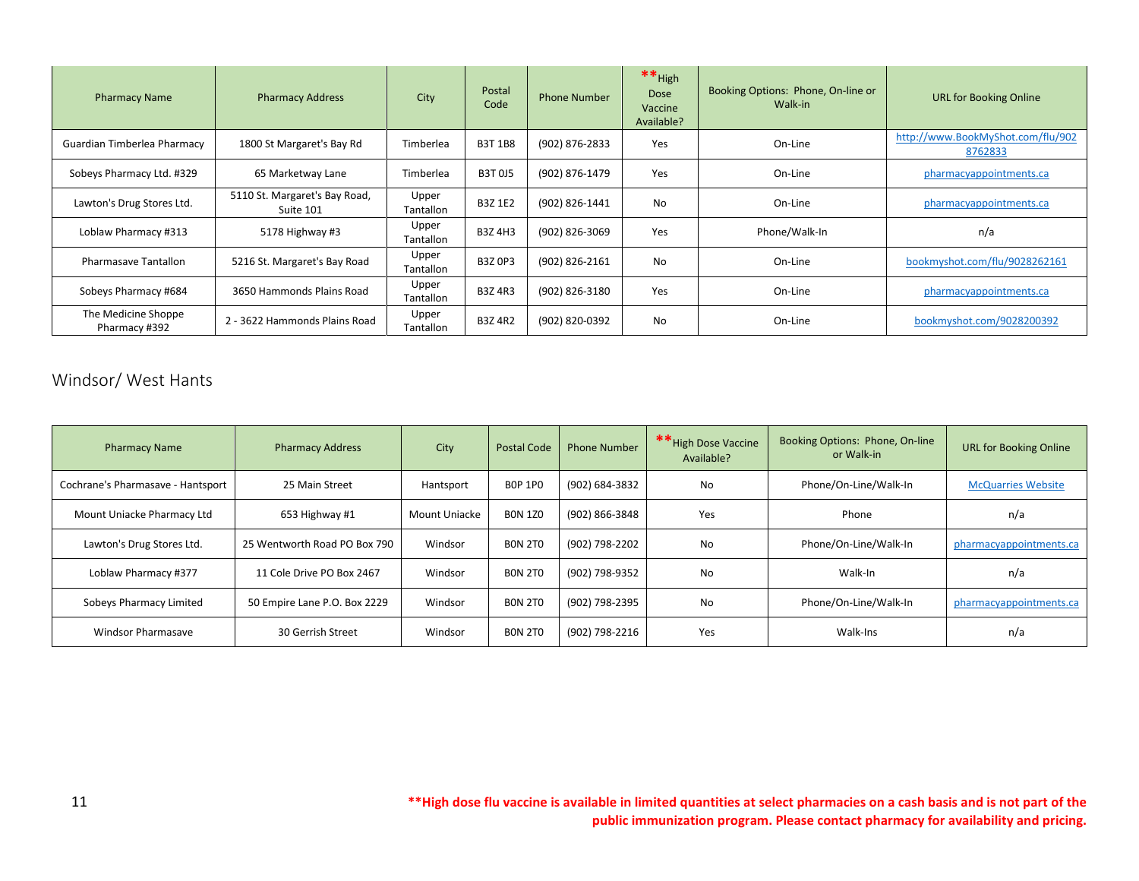| <b>Pharmacy Name</b>                 | <b>Pharmacy Address</b>                    | City                      | Postal<br>Code | <b>Phone Number</b> | $**$ High<br>Dose<br>Vaccine<br>Available? | Booking Options: Phone, On-line or<br>Walk-in | <b>URL for Booking Online</b>                |
|--------------------------------------|--------------------------------------------|---------------------------|----------------|---------------------|--------------------------------------------|-----------------------------------------------|----------------------------------------------|
| Guardian Timberlea Pharmacy          | 1800 St Margaret's Bay Rd                  | Timberlea                 | <b>B3T 1B8</b> | (902) 876-2833      | Yes                                        | On-Line                                       | http://www.BookMyShot.com/flu/902<br>8762833 |
| Sobeys Pharmacy Ltd. #329            | 65 Marketway Lane                          | Timberlea                 | <b>B3T 0J5</b> | (902) 876-1479      | Yes                                        | On-Line                                       | pharmacyappointments.ca                      |
| Lawton's Drug Stores Ltd.            | 5110 St. Margaret's Bay Road,<br>Suite 101 | Upper<br>Tantallon        | <b>B3Z 1E2</b> | (902) 826-1441      | No                                         | On-Line                                       | pharmacyappointments.ca                      |
| Loblaw Pharmacy #313                 | 5178 Highway #3                            | Upper<br>Tantallon        | <b>B3Z4H3</b>  | (902) 826-3069      | Yes                                        | Phone/Walk-In                                 | n/a                                          |
| <b>Pharmasave Tantallon</b>          | 5216 St. Margaret's Bay Road               | Upper<br>Tantallon        | <b>B3Z 0P3</b> | (902) 826-2161      | No                                         | On-Line                                       | bookmyshot.com/flu/9028262161                |
| Sobeys Pharmacy #684                 | 3650 Hammonds Plains Road                  | Upper<br>Tantallon        | <b>B3Z4R3</b>  | (902) 826-3180      | Yes                                        | On-Line                                       | pharmacyappointments.ca                      |
| The Medicine Shoppe<br>Pharmacy #392 | 2 - 3622 Hammonds Plains Road              | Upper<br><b>Tantallon</b> | <b>B3Z 4R2</b> | (902) 820-0392      | No                                         | On-Line                                       | bookmyshot.com/9028200392                    |

### <span id="page-11-0"></span>Windsor/ West Hants

| <b>Pharmacy Name</b>              | <b>Pharmacy Address</b>      | City          | <b>Postal Code</b> | <b>Phone Number</b> | ** High Dose Vaccine<br>Available? | Booking Options: Phone, On-line<br>or Walk-in | <b>URL for Booking Online</b> |
|-----------------------------------|------------------------------|---------------|--------------------|---------------------|------------------------------------|-----------------------------------------------|-------------------------------|
| Cochrane's Pharmasave - Hantsport | 25 Main Street               | Hantsport     | <b>BOP 1PO</b>     | (902) 684-3832      | No                                 | Phone/On-Line/Walk-In                         | <b>McQuarries Website</b>     |
| Mount Uniacke Pharmacy Ltd        | 653 Highway #1               | Mount Uniacke | <b>BON 1Z0</b>     | (902) 866-3848      | Yes                                | Phone                                         | n/a                           |
| Lawton's Drug Stores Ltd.         | 25 Wentworth Road PO Box 790 | Windsor       | <b>BON 2TO</b>     | (902) 798-2202      | No                                 | Phone/On-Line/Walk-In                         | pharmacyappointments.ca       |
| Loblaw Pharmacy #377              | 11 Cole Drive PO Box 2467    | Windsor       | <b>BON 2TO</b>     | (902) 798-9352      | No                                 | Walk-In                                       | n/a                           |
| Sobeys Pharmacy Limited           | 50 Empire Lane P.O. Box 2229 | Windsor       | <b>BON 2TO</b>     | (902) 798-2395      | No                                 | Phone/On-Line/Walk-In                         | pharmacyappointments.ca       |
| <b>Windsor Pharmasave</b>         | 30 Gerrish Street            | Windsor       | <b>BON 2TO</b>     | (902) 798-2216      | Yes                                | Walk-Ins                                      | n/a                           |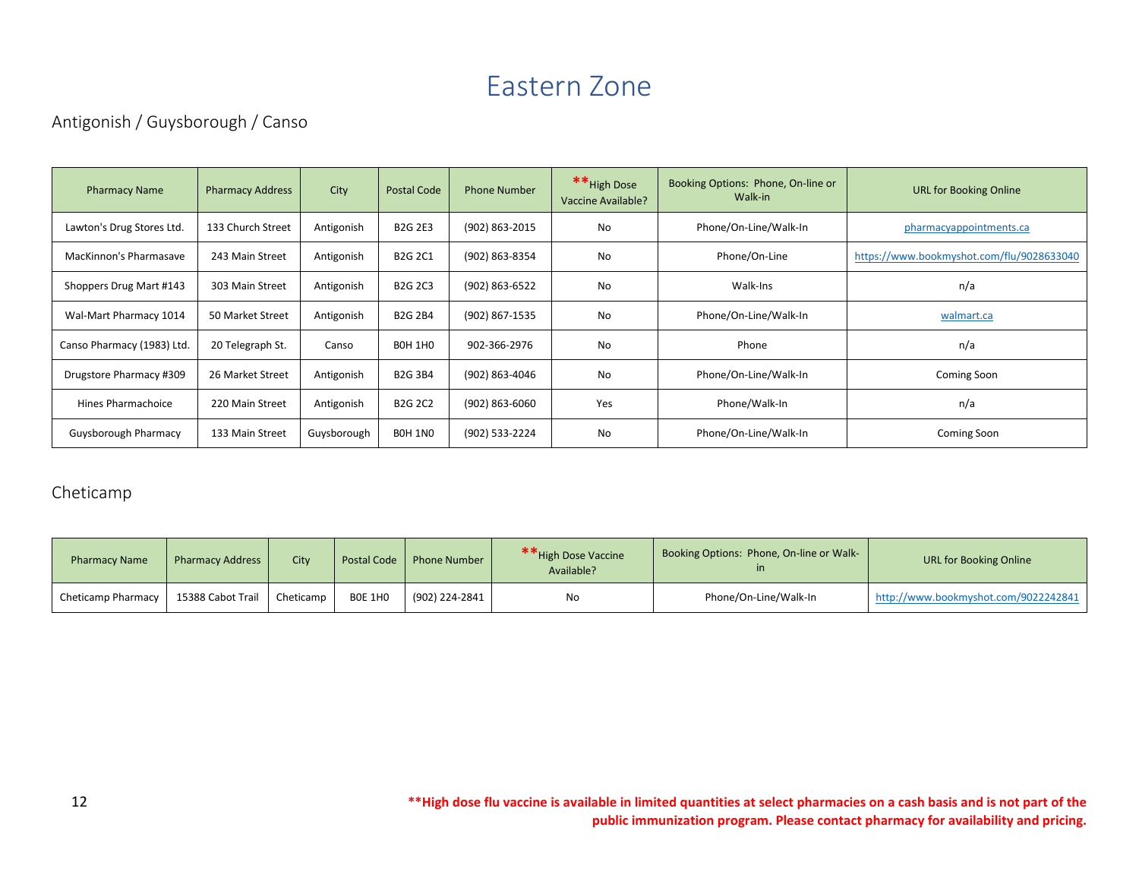# Eastern Zone

# <span id="page-12-1"></span><span id="page-12-0"></span>Antigonish / Guysborough / Canso

| <b>Pharmacy Name</b>       | <b>Pharmacy Address</b> | City        | <b>Postal Code</b> | <b>Phone Number</b> | ** High Dose<br>Vaccine Available? | Booking Options: Phone, On-line or<br>Walk-in | <b>URL for Booking Online</b>             |
|----------------------------|-------------------------|-------------|--------------------|---------------------|------------------------------------|-----------------------------------------------|-------------------------------------------|
| Lawton's Drug Stores Ltd.  | 133 Church Street       | Antigonish  | <b>B2G 2E3</b>     | (902) 863-2015      | No                                 | Phone/On-Line/Walk-In                         | pharmacyappointments.ca                   |
| MacKinnon's Pharmasave     | 243 Main Street         | Antigonish  | <b>B2G 2C1</b>     | (902) 863-8354      | No                                 | Phone/On-Line                                 | https://www.bookmyshot.com/flu/9028633040 |
| Shoppers Drug Mart #143    | 303 Main Street         | Antigonish  | <b>B2G 2C3</b>     | (902) 863-6522      | No                                 | Walk-Ins                                      | n/a                                       |
| Wal-Mart Pharmacy 1014     | 50 Market Street        | Antigonish  | <b>B2G 2B4</b>     | (902) 867-1535      | No                                 | Phone/On-Line/Walk-In                         | walmart.ca                                |
| Canso Pharmacy (1983) Ltd. | 20 Telegraph St.        | Canso       | <b>BOH 1HO</b>     | 902-366-2976        | No                                 | Phone                                         | n/a                                       |
| Drugstore Pharmacy #309    | 26 Market Street        | Antigonish  | <b>B2G 3B4</b>     | (902) 863-4046      | No                                 | Phone/On-Line/Walk-In                         | Coming Soon                               |
| Hines Pharmachoice         | 220 Main Street         | Antigonish  | <b>B2G 2C2</b>     | (902) 863-6060      | Yes                                | Phone/Walk-In                                 | n/a                                       |
| Guysborough Pharmacy       | 133 Main Street         | Guysborough | BOH 1NO            | (902) 533-2224      | No                                 | Phone/On-Line/Walk-In                         | Coming Soon                               |

#### <span id="page-12-2"></span>Cheticamp

| <b>Pharmacy Name</b> | <b>Pharmacy Address</b> | <b>City</b> | <b>Postal Code</b> | <b>Phone Number</b> | ** High Dose Vaccine<br>Available? | Booking Options: Phone, On-line or Walk- | URL for Booking Online               |
|----------------------|-------------------------|-------------|--------------------|---------------------|------------------------------------|------------------------------------------|--------------------------------------|
| Cheticamp Pharmacy   | 15388 Cabot Trail       | Cheticamp   | <b>BOE 1HO</b>     | (902) 224-2841      | No                                 | Phone/On-Line/Walk-In                    | http://www.bookmyshot.com/9022242841 |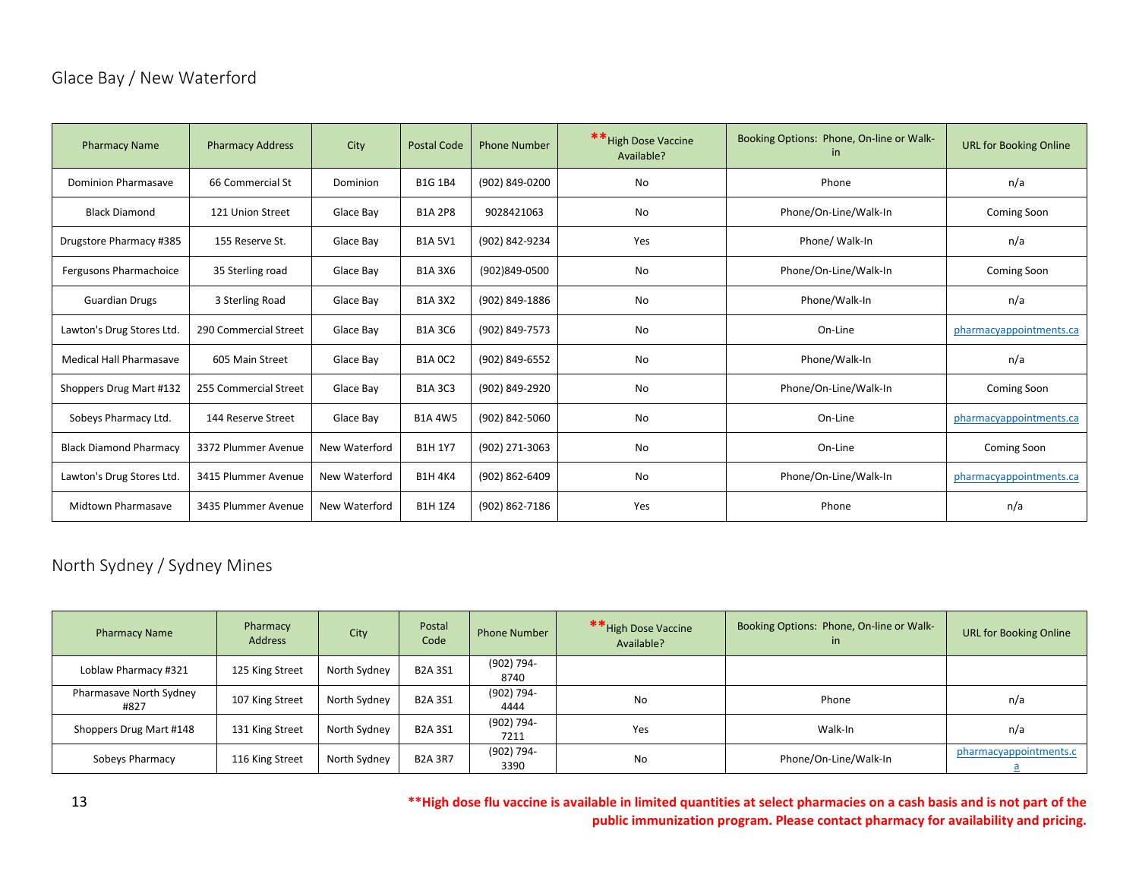# <span id="page-13-0"></span>Glace Bay / New Waterford

| <b>Pharmacy Name</b>           | <b>Pharmacy Address</b> | City          | <b>Postal Code</b> | <b>Phone Number</b> | ** High Dose Vaccine<br>Available? | Booking Options: Phone, On-line or Walk-<br>in | <b>URL for Booking Online</b> |
|--------------------------------|-------------------------|---------------|--------------------|---------------------|------------------------------------|------------------------------------------------|-------------------------------|
| <b>Dominion Pharmasave</b>     | 66 Commercial St        | Dominion      | <b>B1G 1B4</b>     | (902) 849-0200      | <b>No</b><br>Phone                 |                                                | n/a                           |
| <b>Black Diamond</b>           | 121 Union Street        | Glace Bay     | <b>B1A 2P8</b>     | 9028421063          | Phone/On-Line/Walk-In<br>No        |                                                | <b>Coming Soon</b>            |
| Drugstore Pharmacy #385        | 155 Reserve St.         | Glace Bav     | <b>B1A 5V1</b>     | (902) 842-9234      | Yes                                | Phone/ Walk-In                                 | n/a                           |
| Fergusons Pharmachoice         | 35 Sterling road        | Glace Bay     | <b>B1A3X6</b>      | (902)849-0500       | No                                 | Phone/On-Line/Walk-In                          | Coming Soon                   |
| <b>Guardian Drugs</b>          | 3 Sterling Road         | Glace Bay     | <b>B1A3X2</b>      | (902) 849-1886      | No                                 | Phone/Walk-In                                  | n/a                           |
| Lawton's Drug Stores Ltd.      | 290 Commercial Street   | Glace Bay     | <b>B1A 3C6</b>     | (902) 849-7573      | No                                 | On-Line                                        | pharmacyappointments.ca       |
| <b>Medical Hall Pharmasave</b> | 605 Main Street         | Glace Bay     | <b>B1A 0C2</b>     | (902) 849-6552      | No                                 | Phone/Walk-In                                  | n/a                           |
| Shoppers Drug Mart #132        | 255 Commercial Street   | Glace Bay     | <b>B1A 3C3</b>     | (902) 849-2920      | No                                 | Phone/On-Line/Walk-In                          | Coming Soon                   |
| Sobeys Pharmacy Ltd.           | 144 Reserve Street      | Glace Bay     | <b>B1A4W5</b>      | (902) 842-5060      | No                                 | On-Line                                        | pharmacyappointments.ca       |
| <b>Black Diamond Pharmacy</b>  | 3372 Plummer Avenue     | New Waterford | <b>B1H 1Y7</b>     | (902) 271-3063      | No                                 | On-Line                                        | Coming Soon                   |
| Lawton's Drug Stores Ltd.      | 3415 Plummer Avenue     | New Waterford | <b>B1H4K4</b>      | (902) 862-6409      | No                                 | Phone/On-Line/Walk-In                          | pharmacyappointments.ca       |
| <b>Midtown Pharmasave</b>      | 3435 Plummer Avenue     | New Waterford | <b>B1H1Z4</b>      | (902) 862-7186      | Yes                                | Phone                                          | n/a                           |

# <span id="page-13-1"></span>North Sydney / Sydney Mines

| <b>Pharmacy Name</b>            | Pharmacy<br><b>Address</b> | City         | Postal<br>Code | <b>Phone Number</b> | ** High Dose Vaccine<br>Available? | Booking Options: Phone, On-line or Walk-<br><i>in</i> | <b>URL for Booking Online</b> |
|---------------------------------|----------------------------|--------------|----------------|---------------------|------------------------------------|-------------------------------------------------------|-------------------------------|
| Loblaw Pharmacy #321            | 125 King Street            | North Sydney | <b>B2A3S1</b>  | (902) 794-<br>8740  |                                    |                                                       |                               |
| Pharmasave North Sydney<br>#827 | 107 King Street            | North Sydney | <b>B2A 3S1</b> | (902) 794-<br>4444  | No                                 | Phone                                                 | n/a                           |
| Shoppers Drug Mart #148         | 131 King Street            | North Sydney | <b>B2A3S1</b>  | (902) 794-<br>7211  | Yes                                | Walk-In                                               | n/a                           |
| Sobeys Pharmacy                 | 116 King Street            | North Sydney | <b>B2A 3R7</b> | (902) 794-<br>3390  | No                                 | Phone/On-Line/Walk-In                                 | pharmacyappointments.c        |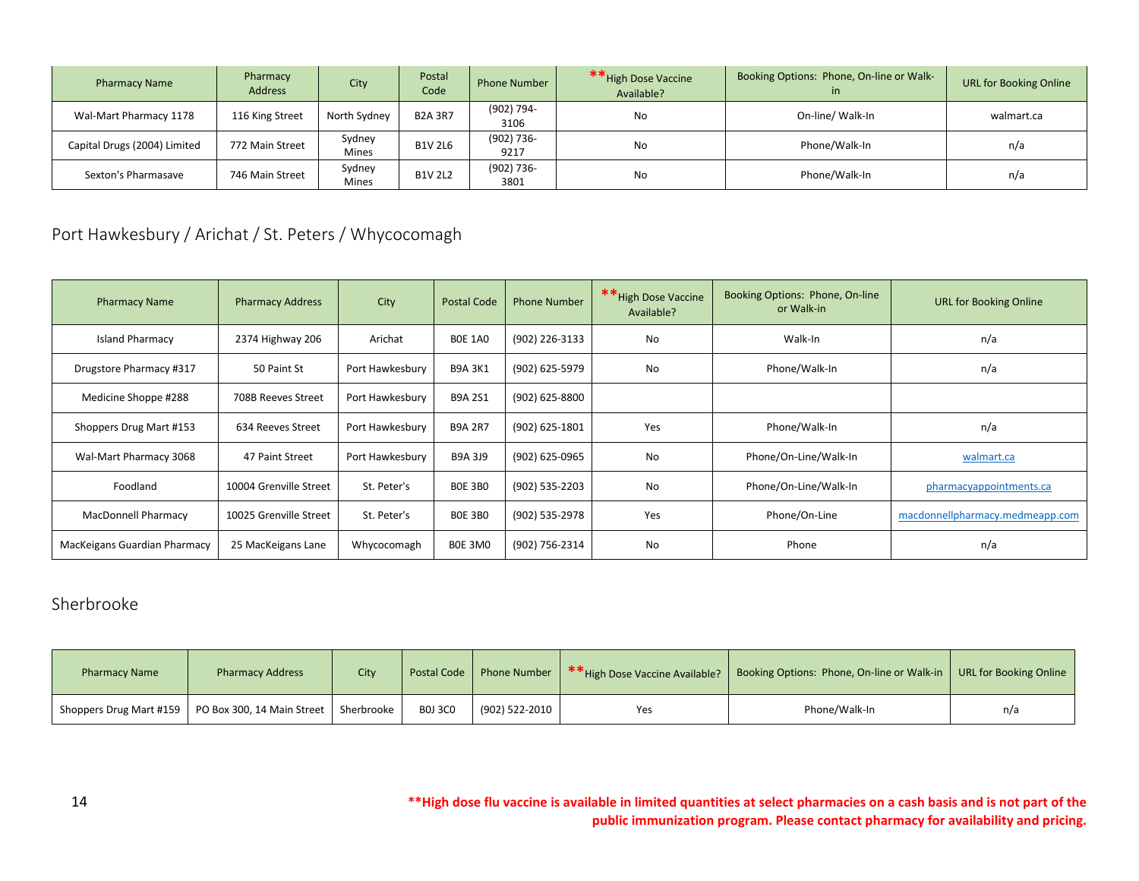| <b>Pharmacy Name</b>         | Pharmacy<br><b>Address</b> | City                   | Postal<br>Code | Phone Number       | ** High Dose Vaccine<br>Available? | Booking Options: Phone, On-line or Walk-<br><sub>in</sub> | <b>URL for Booking Online</b> |
|------------------------------|----------------------------|------------------------|----------------|--------------------|------------------------------------|-----------------------------------------------------------|-------------------------------|
| Wal-Mart Pharmacy 1178       | 116 King Street            | North Sydney           | <b>B2A 3R7</b> | (902) 794-<br>3106 | No                                 | On-line/ Walk-In                                          | walmart.ca                    |
| Capital Drugs (2004) Limited | 772 Main Street            | Sydney<br>Mines        | <b>B1V 2L6</b> | (902) 736-<br>9217 | No                                 | Phone/Walk-In                                             | n/a                           |
| Sexton's Pharmasave          | 746 Main Street            | Sydney<br><b>Mines</b> | <b>B1V 2L2</b> | (902) 736-<br>3801 | No                                 | Phone/Walk-In                                             | n/a                           |

<span id="page-14-0"></span>Port Hawkesbury / Arichat / St. Peters / Whycocomagh

| <b>Pharmacy Name</b>         | <b>Pharmacy Address</b> | City            | <b>Postal Code</b> | <b>Phone Number</b> | ** High Dose Vaccine<br>Available? | Booking Options: Phone, On-line<br>or Walk-in | <b>URL for Booking Online</b>   |
|------------------------------|-------------------------|-----------------|--------------------|---------------------|------------------------------------|-----------------------------------------------|---------------------------------|
| <b>Island Pharmacy</b>       | 2374 Highway 206        | Arichat         | <b>BOE 1A0</b>     | (902) 226-3133      | <b>No</b>                          | Walk-In                                       | n/a                             |
| Drugstore Pharmacy #317      | 50 Paint St             | Port Hawkesbury | <b>B9A 3K1</b>     | (902) 625-5979      | No                                 | Phone/Walk-In                                 | n/a                             |
| Medicine Shoppe #288         | 708B Reeves Street      | Port Hawkesbury | <b>B9A 2S1</b>     | (902) 625-8800      |                                    |                                               |                                 |
| Shoppers Drug Mart #153      | 634 Reeves Street       | Port Hawkesbury | <b>B9A 2R7</b>     | (902) 625-1801      | Yes                                | Phone/Walk-In                                 | n/a                             |
| Wal-Mart Pharmacy 3068       | 47 Paint Street         | Port Hawkesbury | <b>B9A 3J9</b>     | (902) 625-0965      | No                                 | Phone/On-Line/Walk-In                         | walmart.ca                      |
| Foodland                     | 10004 Grenville Street  | St. Peter's     | <b>BOE 3BO</b>     | (902) 535-2203      | No                                 | Phone/On-Line/Walk-In                         | pharmacyappointments.ca         |
| <b>MacDonnell Pharmacy</b>   | 10025 Grenville Street  | St. Peter's     | <b>BOE 3BO</b>     | (902) 535-2978      | Yes                                | Phone/On-Line                                 | macdonnellpharmacy.medmeapp.com |
| MacKeigans Guardian Pharmacy | 25 MacKeigans Lane      | Whycocomagh     | BOE 3MO            | (902) 756-2314      | <b>No</b>                          | Phone                                         | n/a                             |

### <span id="page-14-1"></span>Sherbrooke

| <b>Pharmacy Name</b> | <b>Pharmacy Address</b>                                           | City | <b>Postal Code</b> | <b>Phone Number</b> | ** High Dose Vaccine Available? | Booking Options: Phone, On-line or Walk-in | URL for Booking Online |
|----------------------|-------------------------------------------------------------------|------|--------------------|---------------------|---------------------------------|--------------------------------------------|------------------------|
|                      | Shoppers Drug Mart #159   PO Box 300, 14 Main Street   Sherbrooke |      | <b>BOJ 3CO</b>     | $(902)$ 522-2010    | Yes                             | Phone/Walk-In                              | n/a                    |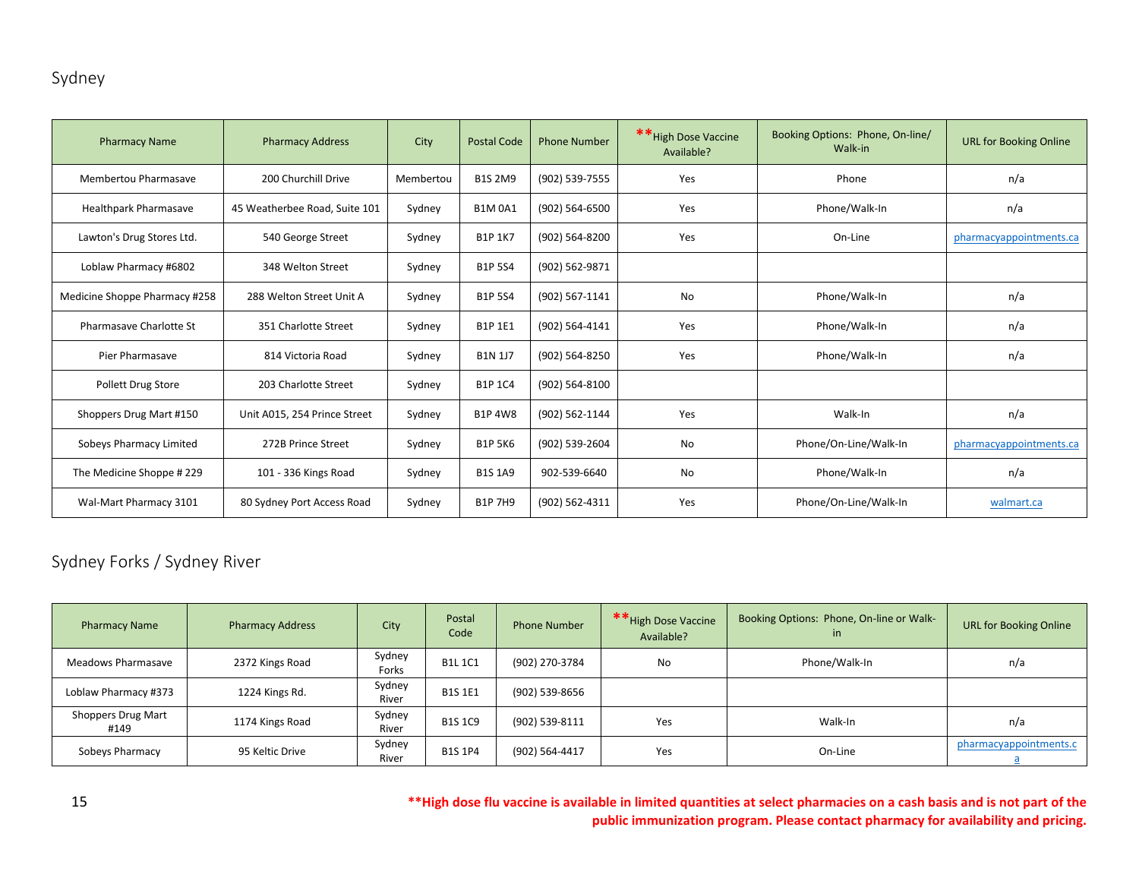# <span id="page-15-0"></span>Sydney

| <b>Pharmacy Name</b>           | <b>Pharmacy Address</b>       | City      | <b>Postal Code</b> | <b>Phone Number</b> | ** High Dose Vaccine<br>Available? | Booking Options: Phone, On-line/<br>Walk-in | <b>URL for Booking Online</b> |
|--------------------------------|-------------------------------|-----------|--------------------|---------------------|------------------------------------|---------------------------------------------|-------------------------------|
| Membertou Pharmasave           | 200 Churchill Drive           | Membertou | <b>B1S 2M9</b>     | (902) 539-7555      | Yes                                | Phone                                       | n/a                           |
| <b>Healthpark Pharmasave</b>   | 45 Weatherbee Road, Suite 101 | Sydney    | <b>B1M0A1</b>      | (902) 564-6500      | Yes                                | Phone/Walk-In                               | n/a                           |
| Lawton's Drug Stores Ltd.      | 540 George Street             | Sydney    | <b>B1P 1K7</b>     | (902) 564-8200      | Yes                                | On-Line                                     | pharmacyappointments.ca       |
| Loblaw Pharmacy #6802          | 348 Welton Street             | Sydney    | <b>B1P 5S4</b>     | (902) 562-9871      |                                    |                                             |                               |
| Medicine Shoppe Pharmacy #258  | 288 Welton Street Unit A      | Sydney    | <b>B1P 5S4</b>     | (902) 567-1141      | No                                 | Phone/Walk-In                               | n/a                           |
| Pharmasave Charlotte St        | 351 Charlotte Street          | Sydney    | <b>B1P 1E1</b>     | (902) 564-4141      | Yes                                | Phone/Walk-In                               | n/a                           |
| Pier Pharmasave                | 814 Victoria Road             | Sydney    | <b>B1N 1J7</b>     | (902) 564-8250      | Yes                                | Phone/Walk-In                               | n/a                           |
| <b>Pollett Drug Store</b>      | 203 Charlotte Street          | Sydney    | <b>B1P 1C4</b>     | (902) 564-8100      |                                    |                                             |                               |
| Shoppers Drug Mart #150        | Unit A015, 254 Prince Street  | Sydney    | <b>B1P 4W8</b>     | (902) 562-1144      | Yes                                | Walk-In                                     | n/a                           |
| <b>Sobeys Pharmacy Limited</b> | 272B Prince Street            | Sydney    | <b>B1P 5K6</b>     | (902) 539-2604      | No                                 | Phone/On-Line/Walk-In                       | pharmacyappointments.ca       |
| The Medicine Shoppe #229       | 101 - 336 Kings Road          | Sydney    | <b>B1S 1A9</b>     | 902-539-6640        | No                                 | Phone/Walk-In                               | n/a                           |
| Wal-Mart Pharmacy 3101         | 80 Sydney Port Access Road    | Sydney    | <b>B1P 7H9</b>     | (902) 562-4311      | Yes                                | Phone/On-Line/Walk-In                       | walmart.ca                    |

# <span id="page-15-1"></span>Sydney Forks / Sydney River

| <b>Pharmacy Name</b>       | <b>Pharmacy Address</b> | City            | Postal<br>Code | <b>Phone Number</b> | ** High Dose Vaccine<br>Available? | Booking Options: Phone, On-line or Walk-<br>in |                        |
|----------------------------|-------------------------|-----------------|----------------|---------------------|------------------------------------|------------------------------------------------|------------------------|
| Meadows Pharmasave         | 2372 Kings Road         | Sydney<br>Forks | <b>B1L1C1</b>  | (902) 270-3784      | No                                 | Phone/Walk-In                                  | n/a                    |
| Loblaw Pharmacy #373       | 1224 Kings Rd.          | Sydney<br>River | <b>B1S 1E1</b> | (902) 539-8656      |                                    |                                                |                        |
| Shoppers Drug Mart<br>#149 | 1174 Kings Road         | Sydney<br>River | <b>B1S 1C9</b> | (902) 539-8111      | Yes                                | Walk-In                                        | n/a                    |
| Sobeys Pharmacy            | 95 Keltic Drive         | Sydney<br>River | <b>B1S 1P4</b> | (902) 564-4417      | Yes                                | On-Line                                        | pharmacyappointments.c |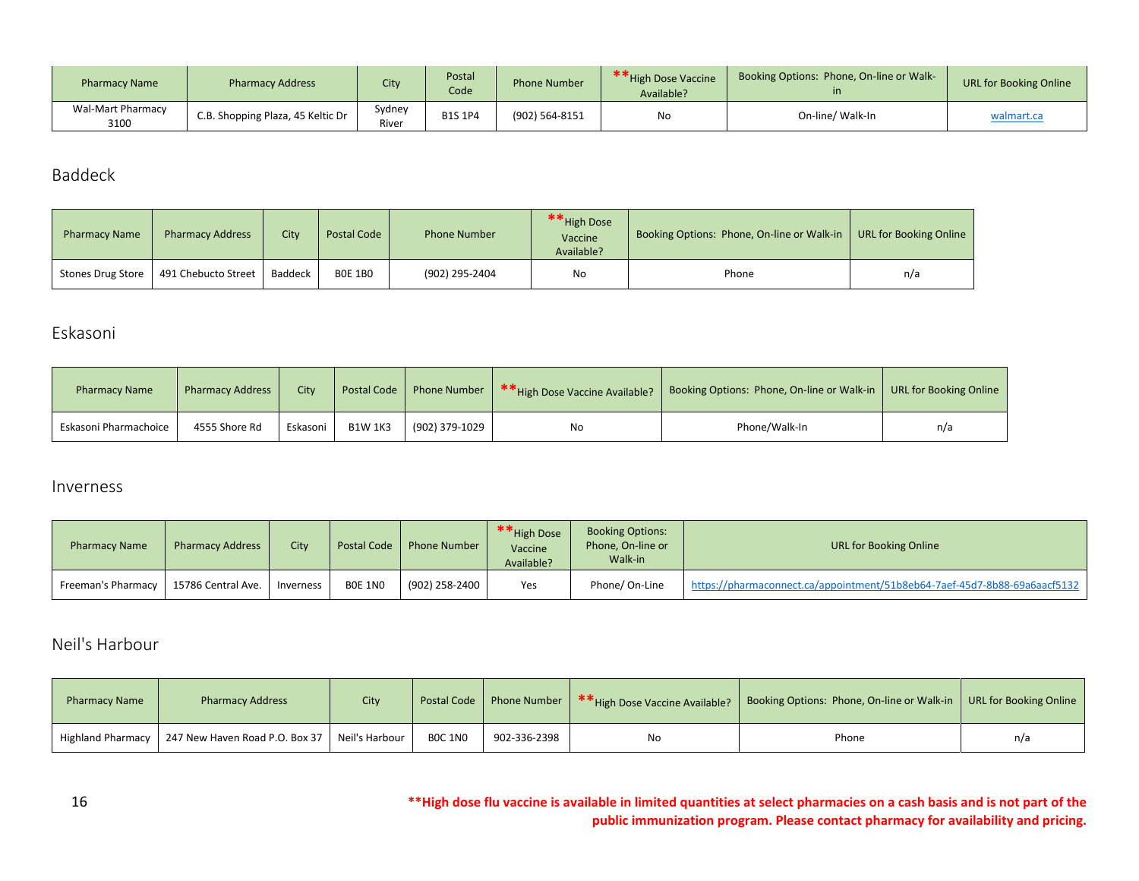| <b>Pharmacy Name</b>             | <b>Pharmacy Address</b>           | City           | Postal<br>Code | <b>Phone Number</b> | ** High Dose Vaccine<br>Available? | Booking Options: Phone, On-line or Walk- | <b>URL for Booking Online</b> |
|----------------------------------|-----------------------------------|----------------|----------------|---------------------|------------------------------------|------------------------------------------|-------------------------------|
| <b>Wal-Mart Pharmacy</b><br>3100 | C.B. Shopping Plaza, 45 Keltic Dr | Sydney<br>Rive | <b>B1S 1P4</b> | (902) 564-8151      | No<br>On-line/ Walk-In             |                                          | walmart.ca                    |

<span id="page-16-0"></span>Baddeck

| <b>Pharmacy Name</b> | <b>Pharmacy Address</b> | <b>City</b> | Postal Code    | <b>Phone Number</b> | ** High Dose<br>Vaccine<br>Available? | Booking Options: Phone, On-line or Walk-in | URL for Booking Online |
|----------------------|-------------------------|-------------|----------------|---------------------|---------------------------------------|--------------------------------------------|------------------------|
| Stones Drug Store    | 491 Chebucto Street     | Baddeck     | <b>BOE 1BO</b> | (902) 295-2404      | No                                    | Phone                                      | n/a                    |

# <span id="page-16-1"></span>Eskasoni

| <b>Pharmacy Name</b>  | <b>Pharmacy Address</b> | City     | <b>Postal Code</b> | <b>Phone Number</b> | **High Dose Vaccine Available? | Booking Options: Phone, On-line or Walk-in | URL for Booking Online |
|-----------------------|-------------------------|----------|--------------------|---------------------|--------------------------------|--------------------------------------------|------------------------|
| Eskasoni Pharmachoice | 4555 Shore Rd           | Eskasoni | <b>B1W 1K3</b>     | (902) 379-1029      | No                             | Phone/Walk-In                              | n/a                    |

#### <span id="page-16-2"></span>Inverness

| <b>Pharmacy Name</b> | <b>Pharmacy Address</b> | City      | <b>Postal Code</b> | <b>Phone Number</b> | ** High Dose<br>Vaccine<br>Available? | <b>Booking Options:</b><br>Phone, On-line or<br>Walk-in | URL for Booking Online                                                    |
|----------------------|-------------------------|-----------|--------------------|---------------------|---------------------------------------|---------------------------------------------------------|---------------------------------------------------------------------------|
| Freeman's Pharmacy   | 15786 Central Ave.      | Inverness | BOE 1NO            | (902) 258-2400      | Yes                                   | Phone/ On-Line                                          | https://pharmaconnect.ca/appointment/51b8eb64-7aef-45d7-8b88-69a6aacf5132 |

# <span id="page-16-3"></span>Neil's Harbour

| <b>Pharmacy Name</b> | <b>Pharmacy Address</b>                       | City |                |              | Postal Code Phone Number   ** High Dose Vaccine Available? | Booking Options: Phone, On-line or Walk-in   URL for Booking Online |     |
|----------------------|-----------------------------------------------|------|----------------|--------------|------------------------------------------------------------|---------------------------------------------------------------------|-----|
| Highland Pharmacy    | 247 New Haven Road P.O. Box 37 Neil's Harbour |      | <b>BOC 1NO</b> | 902-336-2398 | No                                                         | Phone                                                               | n/a |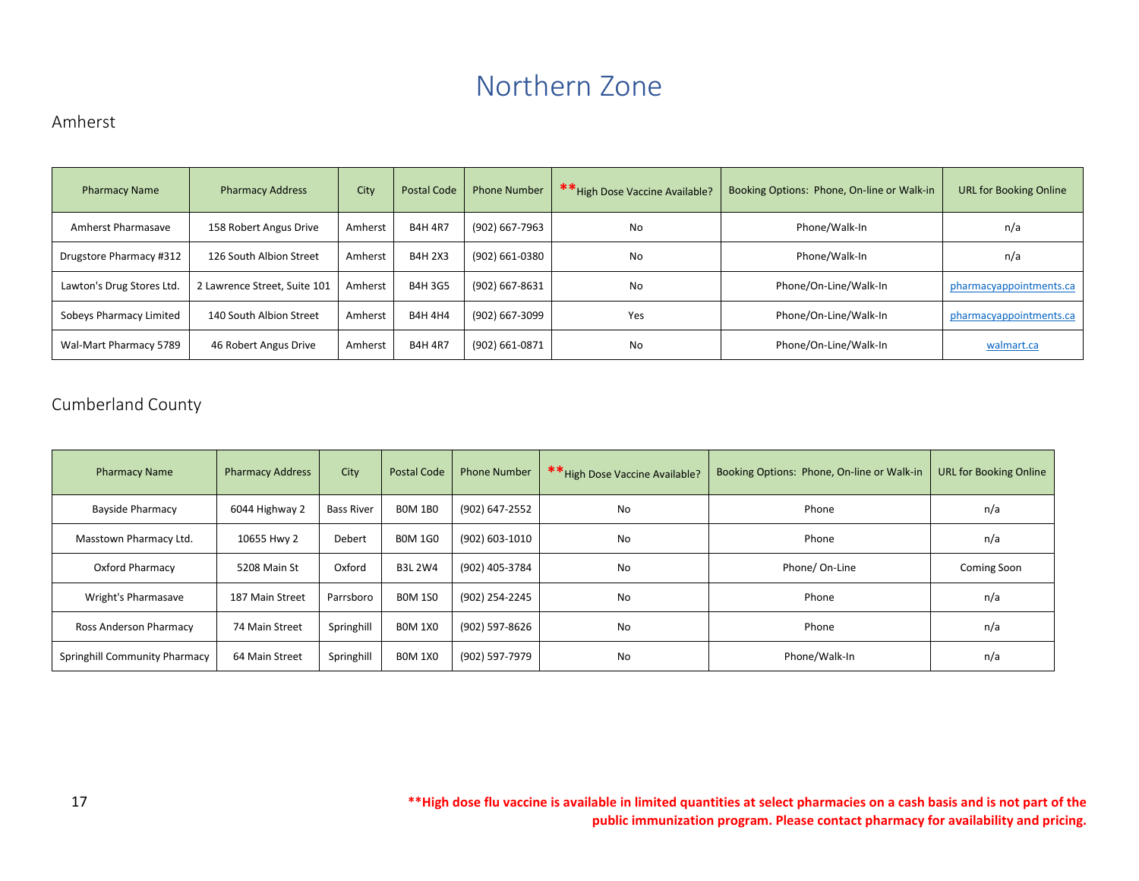# Northern Zone

#### <span id="page-17-1"></span><span id="page-17-0"></span>Amherst

| <b>Pharmacy Name</b>      | <b>Pharmacy Address</b>      | City    | <b>Postal Code</b> | <b>Phone Number</b> | ** High Dose Vaccine Available?<br>Booking Options: Phone, On-line or Walk-in |                       | <b>URL for Booking Online</b> |
|---------------------------|------------------------------|---------|--------------------|---------------------|-------------------------------------------------------------------------------|-----------------------|-------------------------------|
| Amherst Pharmasave        | 158 Robert Angus Drive       | Amherst | <b>B4H 4R7</b>     | (902) 667-7963      | No                                                                            | Phone/Walk-In         | n/a                           |
| Drugstore Pharmacy #312   | 126 South Albion Street      | Amherst | <b>B4H 2X3</b>     | (902) 661-0380      | No                                                                            | Phone/Walk-In         | n/a                           |
| Lawton's Drug Stores Ltd. | 2 Lawrence Street, Suite 101 | Amherst | <b>B4H3G5</b>      | (902) 667-8631      | No                                                                            | Phone/On-Line/Walk-In | pharmacyappointments.ca       |
| Sobeys Pharmacy Limited   | 140 South Albion Street      | Amherst | <b>B4H 4H4</b>     | (902) 667-3099      | Yes                                                                           | Phone/On-Line/Walk-In | pharmacyappointments.ca       |
| Wal-Mart Pharmacy 5789    | 46 Robert Angus Drive        | Amherst | <b>B4H 4R7</b>     | (902) 661-0871      | No                                                                            | Phone/On-Line/Walk-In | walmart.ca                    |

# <span id="page-17-2"></span>Cumberland County

| <b>Pharmacy Name</b>          | <b>Pharmacy Address</b> | City       | Postal Code    | <b>Phone Number</b> | ** High Dose Vaccine Available? | Booking Options: Phone, On-line or Walk-in | <b>URL for Booking Online</b> |
|-------------------------------|-------------------------|------------|----------------|---------------------|---------------------------------|--------------------------------------------|-------------------------------|
| <b>Bayside Pharmacy</b>       | 6044 Highway 2          | Bass River | <b>BOM 1BO</b> | (902) 647-2552      | No                              | Phone                                      | n/a                           |
| Masstown Pharmacy Ltd.        | 10655 Hwy 2             | Debert     | <b>BOM 1GO</b> | (902) 603-1010      | No                              | Phone                                      | n/a                           |
| Oxford Pharmacy               | 5208 Main St            | Oxford     | <b>B3L 2W4</b> | (902) 405-3784      | No                              | Phone/ On-Line                             | Coming Soon                   |
| Wright's Pharmasave           | 187 Main Street         | Parrsboro  | <b>BOM 1SO</b> | (902) 254-2245      | No                              | Phone                                      | n/a                           |
| Ross Anderson Pharmacy        | 74 Main Street          | Springhill | <b>BOM 1X0</b> | (902) 597-8626      | No                              | Phone                                      | n/a                           |
| Springhill Community Pharmacy | 64 Main Street          | Springhill | <b>BOM 1X0</b> | (902) 597-7979      | No                              | Phone/Walk-In                              | n/a                           |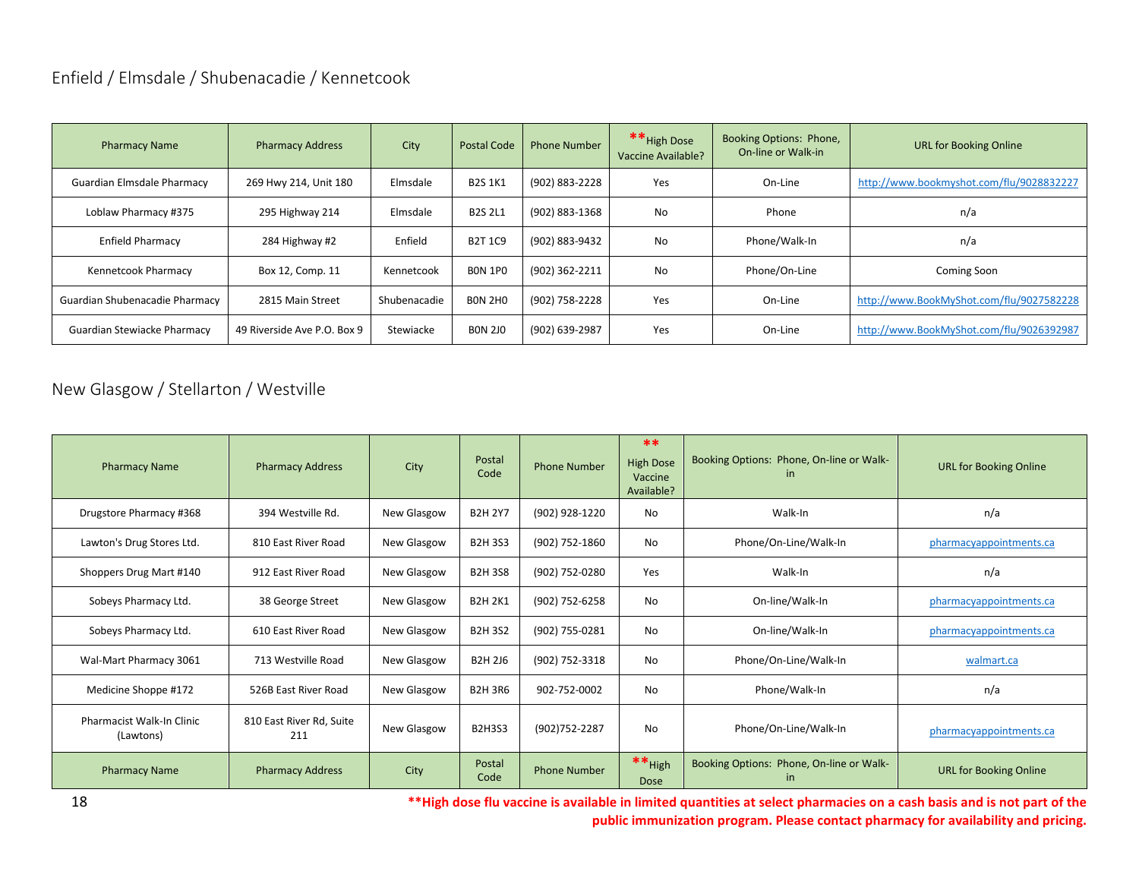# <span id="page-18-0"></span>Enfield / Elmsdale / Shubenacadie / Kennetcook

| <b>Pharmacy Name</b>           | <b>Pharmacy Address</b>     | City         | <b>Postal Code</b> | <b>Phone Number</b> | ** High Dose<br>Vaccine Available? | Booking Options: Phone,<br>On-line or Walk-in | <b>URL for Booking Online</b>            |
|--------------------------------|-----------------------------|--------------|--------------------|---------------------|------------------------------------|-----------------------------------------------|------------------------------------------|
| Guardian Elmsdale Pharmacy     | 269 Hwy 214, Unit 180       | Elmsdale     | <b>B2S 1K1</b>     | (902) 883-2228      | Yes                                | On-Line                                       | http://www.bookmyshot.com/flu/9028832227 |
| Loblaw Pharmacy #375           | 295 Highway 214             | Elmsdale     | <b>B2S 2L1</b>     | (902) 883-1368      | No.                                | Phone                                         | n/a                                      |
| <b>Enfield Pharmacy</b>        | 284 Highway #2              | Enfield      | <b>B2T 1C9</b>     | (902) 883-9432      | No.                                | Phone/Walk-In                                 | n/a                                      |
| Kennetcook Pharmacy            | Box 12, Comp. 11            | Kennetcook   | <b>BON 1PO</b>     | (902) 362-2211      | No.                                | Phone/On-Line                                 | Coming Soon                              |
| Guardian Shubenacadie Pharmacy | 2815 Main Street            | Shubenacadie | <b>BON 2HO</b>     | (902) 758-2228      | Yes                                | On-Line                                       | http://www.BookMyShot.com/flu/9027582228 |
| Guardian Stewiacke Pharmacy    | 49 Riverside Ave P.O. Box 9 | Stewiacke    | <b>BON 2JO</b>     | (902) 639-2987      | Yes                                | On-Line                                       | http://www.BookMyShot.com/flu/9026392987 |

# <span id="page-18-1"></span>New Glasgow / Stellarton / Westville

| <b>Pharmacy Name</b>                   | <b>Pharmacy Address</b>         | City        | Postal<br>Code | <b>Phone Number</b> | **<br><b>High Dose</b><br>Vaccine<br>Available? | Booking Options: Phone, On-line or Walk-<br>in. | <b>URL for Booking Online</b> |
|----------------------------------------|---------------------------------|-------------|----------------|---------------------|-------------------------------------------------|-------------------------------------------------|-------------------------------|
| Drugstore Pharmacy #368                | 394 Westville Rd.               | New Glasgow | <b>B2H 2Y7</b> | (902) 928-1220      | <b>No</b>                                       | Walk-In                                         | n/a                           |
| Lawton's Drug Stores Ltd.              | 810 East River Road             | New Glasgow | <b>B2H3S3</b>  | (902) 752-1860      | <b>No</b>                                       | Phone/On-Line/Walk-In                           | pharmacyappointments.ca       |
| Shoppers Drug Mart #140                | 912 East River Road             | New Glasgow | <b>B2H3S8</b>  | (902) 752-0280      | Yes                                             | Walk-In                                         | n/a                           |
| Sobeys Pharmacy Ltd.                   | 38 George Street                | New Glasgow | <b>B2H 2K1</b> | (902) 752-6258      | <b>No</b>                                       | On-line/Walk-In                                 | pharmacyappointments.ca       |
| Sobeys Pharmacy Ltd.                   | 610 East River Road             | New Glasgow | <b>B2H3S2</b>  | (902) 755-0281      | <b>No</b>                                       | On-line/Walk-In                                 | pharmacyappointments.ca       |
| Wal-Mart Pharmacy 3061                 | 713 Westville Road              | New Glasgow | <b>B2H 2J6</b> | (902) 752-3318      | <b>No</b>                                       | Phone/On-Line/Walk-In                           | walmart.ca                    |
| Medicine Shoppe #172                   | 526B East River Road            | New Glasgow | <b>B2H 3R6</b> | 902-752-0002        | <b>No</b>                                       | Phone/Walk-In                                   | n/a                           |
| Pharmacist Walk-In Clinic<br>(Lawtons) | 810 East River Rd, Suite<br>211 | New Glasgow | <b>B2H3S3</b>  | (902)752-2287       | <b>No</b>                                       | Phone/On-Line/Walk-In                           | pharmacyappointments.ca       |
| <b>Pharmacy Name</b>                   | <b>Pharmacy Address</b>         | City        | Postal<br>Code | <b>Phone Number</b> | $**$ High<br>Dose                               | Booking Options: Phone, On-line or Walk-<br>in. | <b>URL for Booking Online</b> |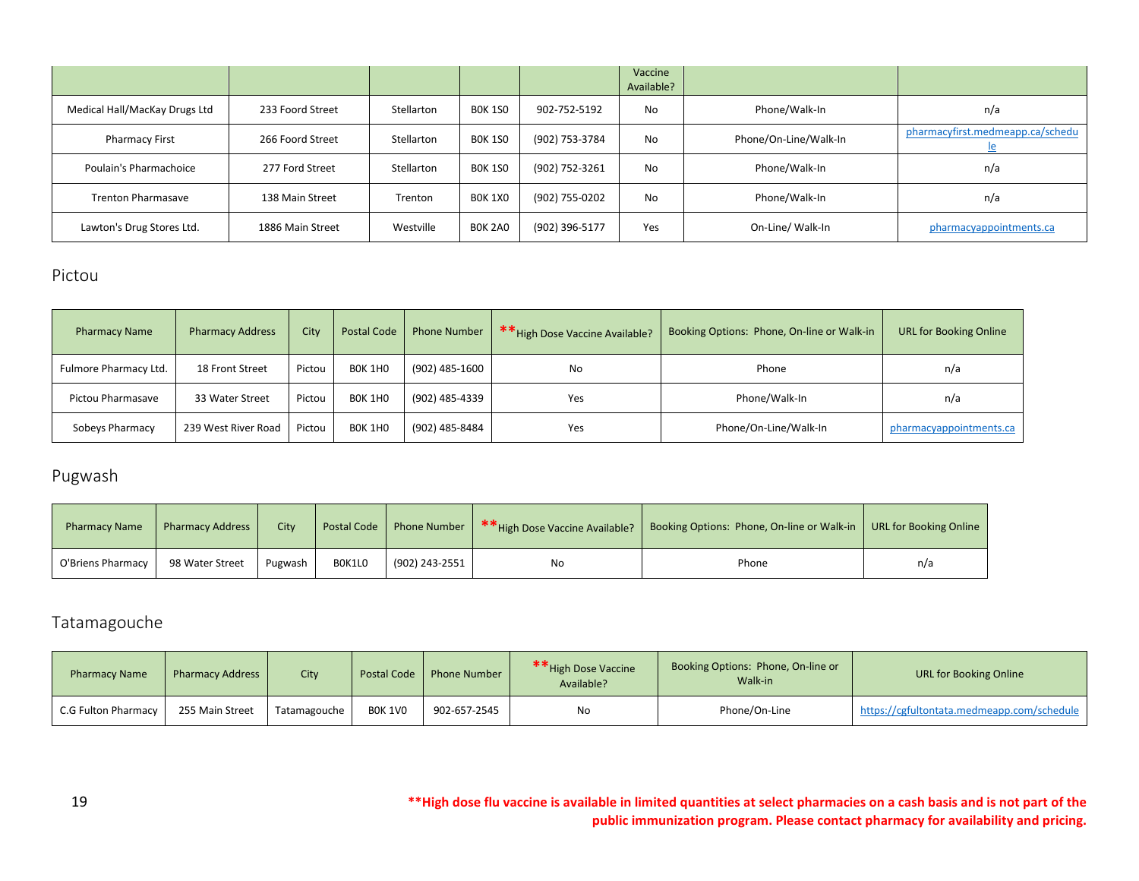|                               |                  |            |                |                | Vaccine<br>Available? |                       |                                         |
|-------------------------------|------------------|------------|----------------|----------------|-----------------------|-----------------------|-----------------------------------------|
| Medical Hall/MacKay Drugs Ltd | 233 Foord Street | Stellarton | <b>BOK 1SO</b> | 902-752-5192   | <b>No</b>             | Phone/Walk-In         | n/a                                     |
| <b>Pharmacy First</b>         | 266 Foord Street | Stellarton | <b>BOK 1SO</b> | (902) 753-3784 | <b>No</b>             | Phone/On-Line/Walk-In | pharmacyfirst.medmeapp.ca/schedu<br>ے ا |
| Poulain's Pharmachoice        | 277 Ford Street  | Stellarton | <b>BOK 1SO</b> | (902) 752-3261 | <b>No</b>             | Phone/Walk-In         | n/a                                     |
| <b>Trenton Pharmasave</b>     | 138 Main Street  | Trenton    | <b>BOK 1X0</b> | (902) 755-0202 | <b>No</b>             | Phone/Walk-In         | n/a                                     |
| Lawton's Drug Stores Ltd.     | 1886 Main Street | Westville  | BOK 2A0        | (902) 396-5177 | Yes                   | On-Line/ Walk-In      | pharmacyappointments.ca                 |

### <span id="page-19-0"></span>Pictou

| <b>Pharmacy Name</b>  | <b>Pharmacy Address</b> | City   | <b>Postal Code</b> | <b>Phone Number</b> | ** High Dose Vaccine Available? | Booking Options: Phone, On-line or Walk-in | <b>URL for Booking Online</b> |
|-----------------------|-------------------------|--------|--------------------|---------------------|---------------------------------|--------------------------------------------|-------------------------------|
| Fulmore Pharmacy Ltd. | 18 Front Street         | Pictou | BOK 1HO            | (902) 485-1600      | No                              | Phone                                      | n/a                           |
| Pictou Pharmasave     | 33 Water Street         | Pictou | BOK 1HO            | (902) 485-4339      | Yes                             | Phone/Walk-In                              | n/a                           |
| Sobeys Pharmacy       | 239 West River Road     | Pictou | BOK 1HO            | (902) 485-8484      | Yes                             | Phone/On-Line/Walk-In                      | pharmacyappointments.ca       |

# <span id="page-19-1"></span>Pugwash

| <b>Pharmacy Name</b> | <b>Pharmacy Address</b> | City    | Postal Code |                | Phone Number   ** High Dose Vaccine Available? | Booking Options: Phone, On-line or Walk-in   URL for Booking Online |     |
|----------------------|-------------------------|---------|-------------|----------------|------------------------------------------------|---------------------------------------------------------------------|-----|
| O'Briens Pharmacy    | 98 Water Street         | Pugwash | BOK1LO      | (902) 243-2551 | No                                             | Phone                                                               | n/a |

# <span id="page-19-2"></span>Tatamagouche

| <b>Pharmacy Name</b> | <b>Pharmacy Address</b> | City         | Postal Code    | <b>Phone Number</b> | ** High Dose Vaccine<br>Available? | Booking Options: Phone, On-line or<br>Walk-in | <b>URL for Booking Online</b>              |
|----------------------|-------------------------|--------------|----------------|---------------------|------------------------------------|-----------------------------------------------|--------------------------------------------|
| C.G Fulton Pharmacy  | 255 Main Street         | Tatamagouche | <b>BOK 1VO</b> | 902-657-2545        | No                                 | Phone/On-Line                                 | https://cgfultontata.medmeapp.com/schedule |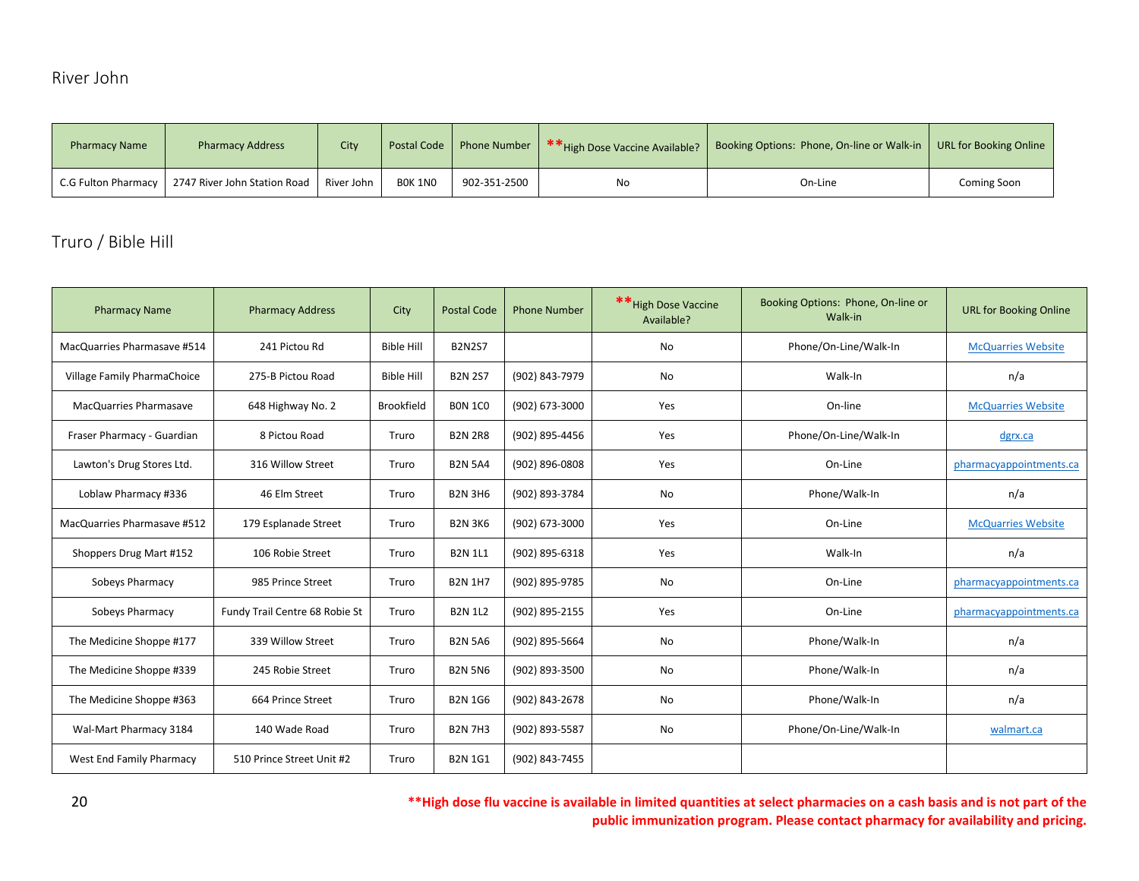# <span id="page-20-0"></span>River John

| <b>Pharmacy Name</b> | <b>Pharmacy Address</b>      | City       |                | Postal Code   Phone Number | **High Dose Vaccine Available? | Booking Options: Phone, On-line or Walk-in   URL for Booking Online |             |
|----------------------|------------------------------|------------|----------------|----------------------------|--------------------------------|---------------------------------------------------------------------|-------------|
| C.G Fulton Pharmacy  | 2747 River John Station Road | River John | <b>BOK 1NO</b> | 902-351-2500               | No                             | On-Line                                                             | Coming Soon |

# <span id="page-20-1"></span>Truro / Bible Hill

| <b>Pharmacy Name</b>        | <b>Pharmacy Address</b>        | City              | <b>Postal Code</b> | <b>Phone Number</b> | ** High Dose Vaccine<br>Available? | Booking Options: Phone, On-line or<br>Walk-in | <b>URL for Booking Online</b> |
|-----------------------------|--------------------------------|-------------------|--------------------|---------------------|------------------------------------|-----------------------------------------------|-------------------------------|
| MacQuarries Pharmasave #514 | 241 Pictou Rd                  | <b>Bible Hill</b> | <b>B2N2S7</b>      |                     | <b>No</b>                          | Phone/On-Line/Walk-In                         | <b>McQuarries Website</b>     |
| Village Family PharmaChoice | 275-B Pictou Road              | <b>Bible Hill</b> | <b>B2N 2S7</b>     | (902) 843-7979      | No                                 | Walk-In                                       | n/a                           |
| MacQuarries Pharmasave      | 648 Highway No. 2              | Brookfield        | <b>BON 1CO</b>     | (902) 673-3000      | Yes                                | On-line                                       | <b>McQuarries Website</b>     |
| Fraser Pharmacy - Guardian  | 8 Pictou Road                  | Truro             | <b>B2N 2R8</b>     | (902) 895-4456      | Yes                                | Phone/On-Line/Walk-In                         | dgrx.ca                       |
| Lawton's Drug Stores Ltd.   | 316 Willow Street              | Truro             | <b>B2N 5A4</b>     | (902) 896-0808      | Yes                                | On-Line                                       | pharmacyappointments.ca       |
| Loblaw Pharmacy #336        | 46 Elm Street                  | Truro             | <b>B2N 3H6</b>     | (902) 893-3784      | No                                 | Phone/Walk-In                                 | n/a                           |
| MacQuarries Pharmasave #512 | 179 Esplanade Street           | Truro             | <b>B2N 3K6</b>     | (902) 673-3000      | Yes                                | On-Line                                       | <b>McQuarries Website</b>     |
| Shoppers Drug Mart #152     | 106 Robie Street               | Truro             | <b>B2N 1L1</b>     | (902) 895-6318      | Yes                                | Walk-In                                       | n/a                           |
| Sobeys Pharmacy             | 985 Prince Street              | Truro             | <b>B2N 1H7</b>     | (902) 895-9785      | No                                 | On-Line                                       | pharmacyappointments.ca       |
| Sobeys Pharmacy             | Fundy Trail Centre 68 Robie St | Truro             | <b>B2N 1L2</b>     | (902) 895-2155      | Yes                                | On-Line                                       | pharmacyappointments.ca       |
| The Medicine Shoppe #177    | 339 Willow Street              | Truro             | <b>B2N 5A6</b>     | (902) 895-5664      | No                                 | Phone/Walk-In                                 | n/a                           |
| The Medicine Shoppe #339    | 245 Robie Street               | Truro             | <b>B2N 5N6</b>     | (902) 893-3500      | No                                 | Phone/Walk-In                                 | n/a                           |
| The Medicine Shoppe #363    | 664 Prince Street              | Truro             | <b>B2N 1G6</b>     | (902) 843-2678      | No                                 | Phone/Walk-In                                 | n/a                           |
| Wal-Mart Pharmacy 3184      | 140 Wade Road                  | Truro             | <b>B2N 7H3</b>     | (902) 893-5587      | No                                 | Phone/On-Line/Walk-In                         | walmart.ca                    |
| West End Family Pharmacy    | 510 Prince Street Unit #2      | Truro             | <b>B2N 1G1</b>     | (902) 843-7455      |                                    |                                               |                               |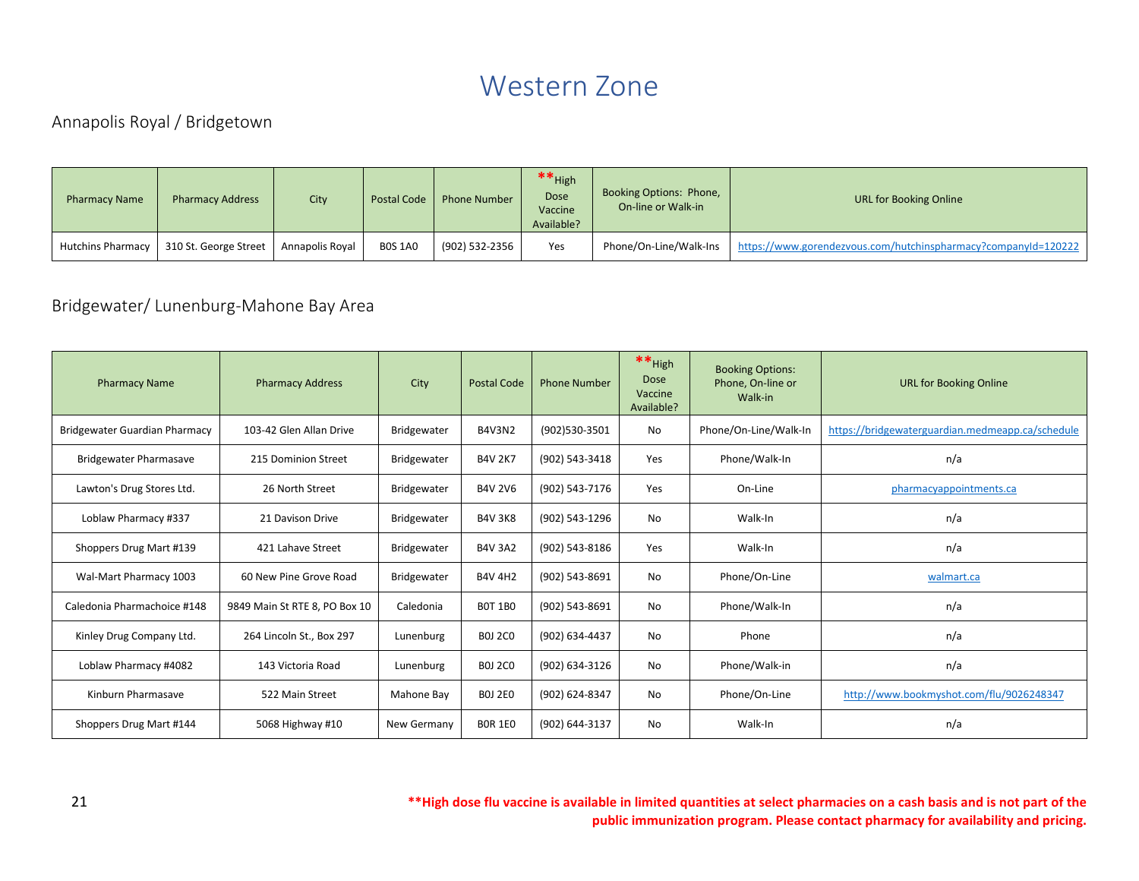# Western Zone

# <span id="page-21-1"></span><span id="page-21-0"></span>Annapolis Royal / Bridgetown

| <b>Pharmacy Name</b>     | <b>Pharmacy Address</b> | City            | Postal Code    | <b>Phone Number</b> | $**$ High<br><b>Dose</b><br>Vaccine<br>Available? | Booking Options: Phone,<br>On-line or Walk-in | URL for Booking Online                                         |
|--------------------------|-------------------------|-----------------|----------------|---------------------|---------------------------------------------------|-----------------------------------------------|----------------------------------------------------------------|
| <b>Hutchins Pharmacy</b> | 310 St. George Street   | Annapolis Royal | <b>BOS 1A0</b> | (902) 532-2356      | Yes                                               | Phone/On-Line/Walk-Ins                        | https://www.gorendezvous.com/hutchinspharmacy?companyId=120222 |

# <span id="page-21-2"></span>Bridgewater/ Lunenburg-Mahone Bay Area

| <b>Pharmacy Name</b>          | <b>Pharmacy Address</b>       | City               | <b>Postal Code</b> | <b>Phone Number</b> | ** High<br><b>Dose</b><br>Vaccine<br>Available? | <b>Booking Options:</b><br>Phone, On-line or<br>Walk-in | <b>URL for Booking Online</b>                    |
|-------------------------------|-------------------------------|--------------------|--------------------|---------------------|-------------------------------------------------|---------------------------------------------------------|--------------------------------------------------|
| Bridgewater Guardian Pharmacy | 103-42 Glen Allan Drive       | <b>Bridgewater</b> | <b>B4V3N2</b>      | (902)530-3501       | No                                              | Phone/On-Line/Walk-In                                   | https://bridgewaterguardian.medmeapp.ca/schedule |
| <b>Bridgewater Pharmasave</b> | 215 Dominion Street           | Bridgewater        | <b>B4V 2K7</b>     | (902) 543-3418      | Yes                                             | Phone/Walk-In                                           | n/a                                              |
| Lawton's Drug Stores Ltd.     | 26 North Street               | Bridgewater        | <b>B4V 2V6</b>     | (902) 543-7176      | Yes                                             | On-Line                                                 | pharmacyappointments.ca                          |
| Loblaw Pharmacy #337          | 21 Davison Drive              | Bridgewater        | <b>B4V 3K8</b>     | (902) 543-1296      | No                                              | Walk-In                                                 | n/a                                              |
| Shoppers Drug Mart #139       | 421 Lahave Street             | Bridgewater        | <b>B4V 3A2</b>     | (902) 543-8186      | Yes                                             | Walk-In                                                 | n/a                                              |
| Wal-Mart Pharmacy 1003        | 60 New Pine Grove Road        | Bridgewater        | <b>B4V 4H2</b>     | (902) 543-8691      | No                                              | Phone/On-Line                                           | walmart.ca                                       |
| Caledonia Pharmachoice #148   | 9849 Main St RTE 8, PO Box 10 | Caledonia          | <b>BOT 1BO</b>     | (902) 543-8691      | No                                              | Phone/Walk-In                                           | n/a                                              |
| Kinley Drug Company Ltd.      | 264 Lincoln St., Box 297      | Lunenburg          | <b>BOJ 2CO</b>     | (902) 634-4437      | No                                              | Phone                                                   | n/a                                              |
| Loblaw Pharmacy #4082         | 143 Victoria Road             | Lunenburg          | <b>BOJ 2CO</b>     | (902) 634-3126      | No                                              | Phone/Walk-in                                           | n/a                                              |
| Kinburn Pharmasave            | 522 Main Street               | Mahone Bay         | <b>BOJ 2E0</b>     | (902) 624-8347      | No                                              | Phone/On-Line                                           | http://www.bookmyshot.com/flu/9026248347         |
| Shoppers Drug Mart #144       | 5068 Highway #10              | New Germany        | <b>BOR 1EO</b>     | (902) 644-3137      | No                                              | Walk-In                                                 | n/a                                              |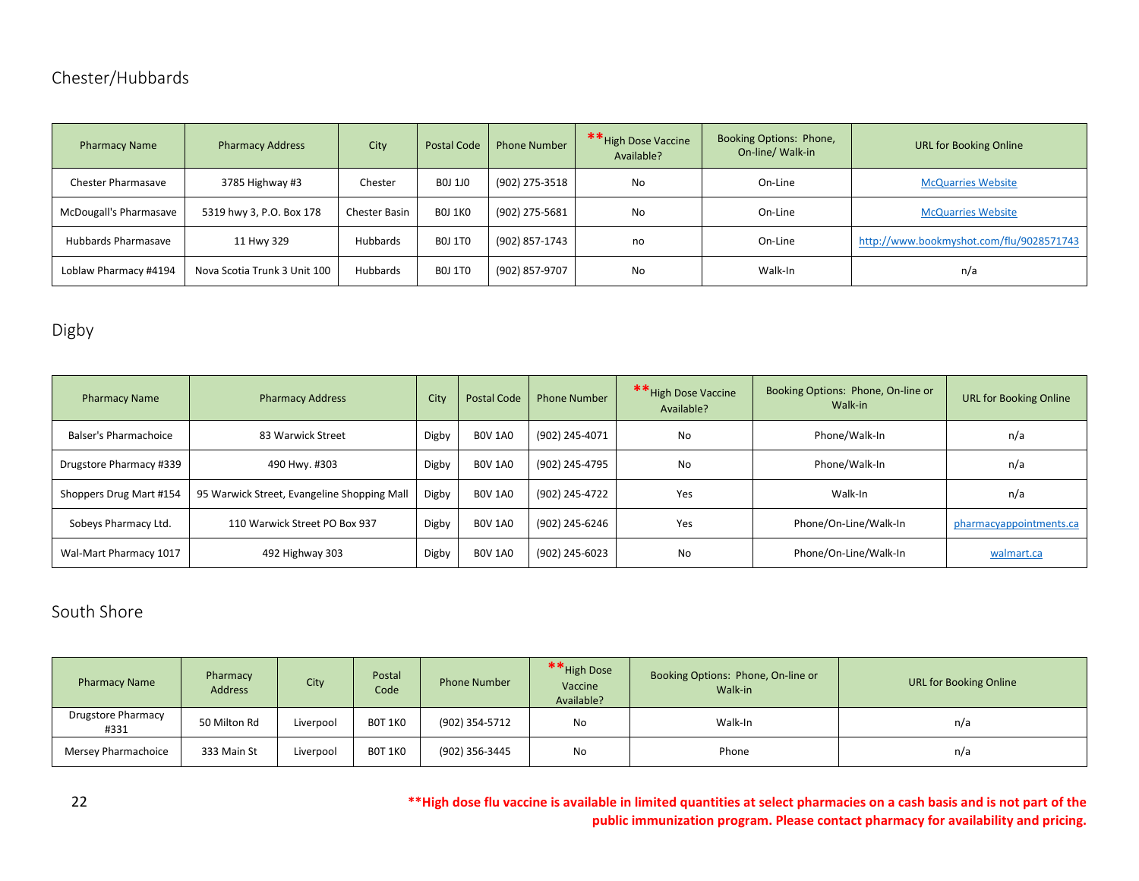# <span id="page-22-0"></span>Chester/Hubbards

| <b>Pharmacy Name</b>      | <b>Pharmacy Address</b>      | City          | <b>Postal Code</b> | <b>Phone Number</b> | ** High Dose Vaccine<br>Available? | Booking Options: Phone,<br>On-line/ Walk-in | <b>URL for Booking Online</b>            |
|---------------------------|------------------------------|---------------|--------------------|---------------------|------------------------------------|---------------------------------------------|------------------------------------------|
| <b>Chester Pharmasave</b> | 3785 Highway #3              | Chester       | <b>BOJ 1JO</b>     | (902) 275-3518      | No                                 | On-Line                                     | <b>McQuarries Website</b>                |
| McDougall's Pharmasave    | 5319 hwy 3, P.O. Box 178     | Chester Basin | <b>BOJ 1KO</b>     | (902) 275-5681      | No                                 | On-Line                                     | <b>McQuarries Website</b>                |
| Hubbards Pharmasave       | 11 Hwy 329                   | Hubbards      | <b>BOJ 1TO</b>     | (902) 857-1743      | no                                 | On-Line                                     | http://www.bookmyshot.com/flu/9028571743 |
| Loblaw Pharmacy #4194     | Nova Scotia Trunk 3 Unit 100 | Hubbards      | <b>BOJ 1TO</b>     | (902) 857-9707      | No                                 | Walk-In                                     | n/a                                      |

# <span id="page-22-1"></span>Digby

| <b>Pharmacy Name</b>    | <b>Pharmacy Address</b>                     | City  | <b>Postal Code</b> | <b>Phone Number</b> | ** High Dose Vaccine<br>Available? | Booking Options: Phone, On-line or<br>Walk-in | <b>URL for Booking Online</b> |
|-------------------------|---------------------------------------------|-------|--------------------|---------------------|------------------------------------|-----------------------------------------------|-------------------------------|
| Balser's Pharmachoice   | 83 Warwick Street                           | Digby | <b>BOV 1A0</b>     | (902) 245-4071      | <b>No</b>                          | Phone/Walk-In                                 | n/a                           |
| Drugstore Pharmacy #339 | 490 Hwy. #303                               | Digby | <b>BOV 1A0</b>     | (902) 245-4795      | <b>No</b>                          | Phone/Walk-In                                 | n/a                           |
| Shoppers Drug Mart #154 | 95 Warwick Street, Evangeline Shopping Mall | Digby | <b>BOV 1A0</b>     | (902) 245-4722      | Yes                                | Walk-In                                       | n/a                           |
| Sobeys Pharmacy Ltd.    | 110 Warwick Street PO Box 937               | Digby | <b>BOV 1A0</b>     | (902) 245-6246      | Yes                                | Phone/On-Line/Walk-In                         | pharmacyappointments.ca       |
| Wal-Mart Pharmacy 1017  | 492 Highway 303                             | Digby | <b>BOV 1A0</b>     | (902) 245-6023      | <b>No</b>                          | Phone/On-Line/Walk-In                         | walmart.ca                    |

# <span id="page-22-2"></span>South Shore

| <b>Pharmacy Name</b>              | Pharmacy<br><b>Address</b> | City      | Postal<br>Code | <b>Phone Number</b> | ** High Dose<br>Vaccine<br>Available? | Booking Options: Phone, On-line or<br>Walk-in | <b>URL for Booking Online</b> |
|-----------------------------------|----------------------------|-----------|----------------|---------------------|---------------------------------------|-----------------------------------------------|-------------------------------|
| <b>Drugstore Pharmacy</b><br>#331 | 50 Milton Rd               | Liverpool | <b>BOT 1KO</b> | (902) 354-5712      | No                                    | Walk-In                                       | n/a                           |
| Mersey Pharmachoice               | 333 Main St                | Liverpool | <b>BOT 1KO</b> | (902) 356-3445      | No                                    | Phone                                         | n/a                           |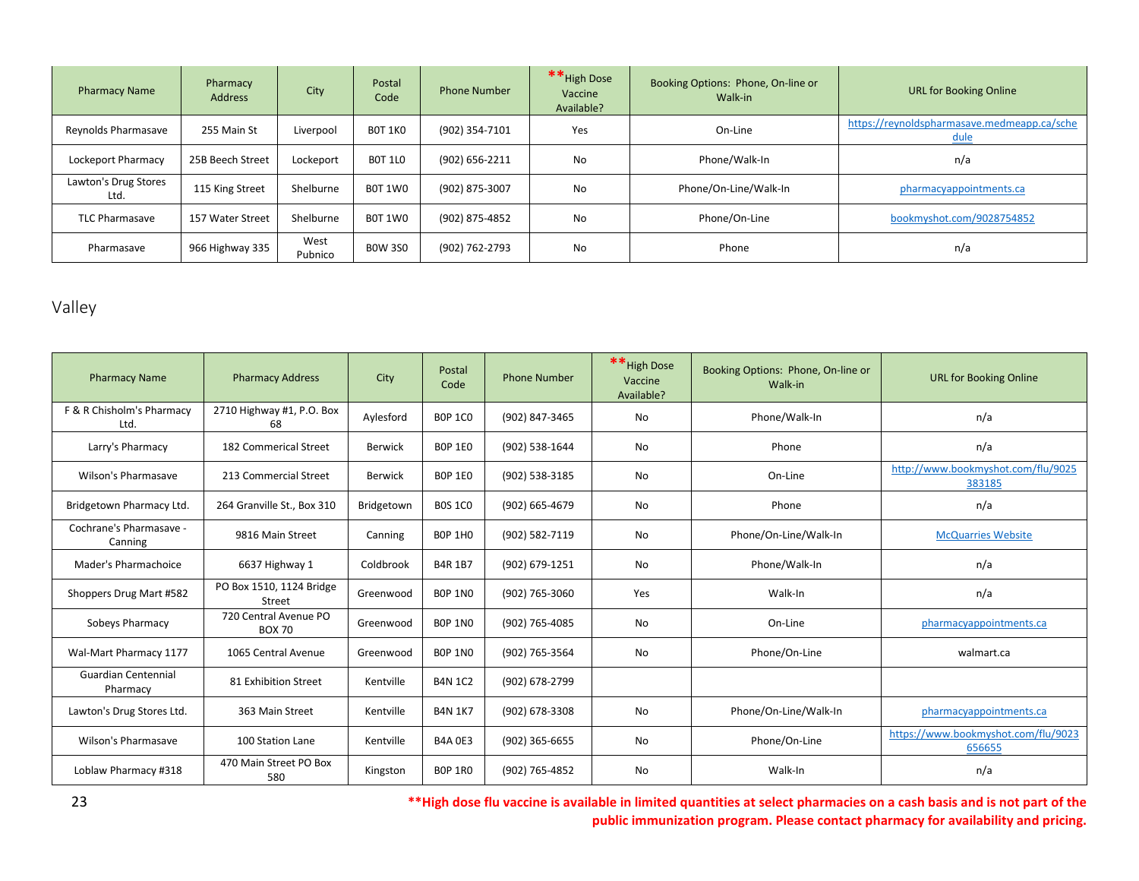| <b>Pharmacy Name</b>         | Pharmacy<br><b>Address</b> | City            | Postal<br>Code | <b>Phone Number</b> | ** High Dose<br>Vaccine<br>Available? | Booking Options: Phone, On-line or<br>Walk-in | <b>URL for Booking Online</b>                       |
|------------------------------|----------------------------|-----------------|----------------|---------------------|---------------------------------------|-----------------------------------------------|-----------------------------------------------------|
| Reynolds Pharmasave          | 255 Main St                | Liverpool       | BOT 1KO        | (902) 354-7101      | Yes                                   | On-Line                                       | https://reynoldspharmasave.medmeapp.ca/sche<br>dule |
| Lockeport Pharmacy           | 25B Beech Street           | Lockeport       | <b>BOT 1LO</b> | (902) 656-2211      | <b>No</b>                             | Phone/Walk-In                                 | n/a                                                 |
| Lawton's Drug Stores<br>Ltd. | 115 King Street            | Shelburne       | <b>B0T 1W0</b> | (902) 875-3007      | No                                    | Phone/On-Line/Walk-In                         | pharmacyappointments.ca                             |
| <b>TLC Pharmasave</b>        | 157 Water Street           | Shelburne       | BOT 1WO        | (902) 875-4852      | <b>No</b>                             | Phone/On-Line                                 | bookmyshot.com/9028754852                           |
| Pharmasave                   | 966 Highway 335            | West<br>Pubnico | <b>BOW 3SO</b> | (902) 762-2793      | No                                    | Phone                                         | n/a                                                 |

# <span id="page-23-0"></span>Valley

| <b>Pharmacy Name</b>                   | <b>Pharmacy Address</b>                | City           | Postal<br>Code | <b>Phone Number</b> | ** High Dose<br>Vaccine<br>Available? | Booking Options: Phone, On-line or<br>Walk-in | <b>URL for Booking Online</b>                 |
|----------------------------------------|----------------------------------------|----------------|----------------|---------------------|---------------------------------------|-----------------------------------------------|-----------------------------------------------|
| F & R Chisholm's Pharmacy<br>Ltd.      | 2710 Highway #1, P.O. Box<br>68        | Aylesford      | <b>BOP 1CO</b> | (902) 847-3465      | No                                    | Phone/Walk-In                                 | n/a                                           |
| Larry's Pharmacy                       | 182 Commerical Street                  | <b>Berwick</b> | <b>BOP 1EO</b> | (902) 538-1644      | No                                    | Phone                                         | n/a                                           |
| Wilson's Pharmasave                    | 213 Commercial Street                  | Berwick        | <b>BOP 1EO</b> | (902) 538-3185      | No                                    | On-Line                                       | http://www.bookmyshot.com/flu/9025<br>383185  |
| Bridgetown Pharmacy Ltd.               | 264 Granville St., Box 310             | Bridgetown     | <b>BOS 1CO</b> | (902) 665-4679      | No                                    | Phone                                         | n/a                                           |
| Cochrane's Pharmasave -<br>Canning     | 9816 Main Street                       | Canning        | <b>BOP 1HO</b> | (902) 582-7119      | No                                    | Phone/On-Line/Walk-In                         | <b>McQuarries Website</b>                     |
| Mader's Pharmachoice                   | 6637 Highway 1                         | Coldbrook      | <b>B4R 1B7</b> | (902) 679-1251      | No                                    | Phone/Walk-In                                 | n/a                                           |
| Shoppers Drug Mart #582                | PO Box 1510, 1124 Bridge<br>Street     | Greenwood      | <b>BOP 1NO</b> | (902) 765-3060      | Yes                                   | Walk-In                                       | n/a                                           |
| Sobeys Pharmacy                        | 720 Central Avenue PO<br><b>BOX 70</b> | Greenwood      | <b>BOP 1NO</b> | (902) 765-4085      | No                                    | On-Line                                       | pharmacyappointments.ca                       |
| Wal-Mart Pharmacy 1177                 | 1065 Central Avenue                    | Greenwood      | <b>BOP 1NO</b> | (902) 765-3564      | No                                    | Phone/On-Line                                 | walmart.ca                                    |
| <b>Guardian Centennial</b><br>Pharmacy | 81 Exhibition Street                   | Kentville      | <b>B4N 1C2</b> | (902) 678-2799      |                                       |                                               |                                               |
| Lawton's Drug Stores Ltd.              | 363 Main Street                        | Kentville      | <b>B4N 1K7</b> | (902) 678-3308      | <b>No</b>                             | Phone/On-Line/Walk-In                         | pharmacyappointments.ca                       |
| Wilson's Pharmasave                    | 100 Station Lane                       | Kentville      | <b>B4A 0E3</b> | (902) 365-6655      | No                                    | Phone/On-Line                                 | https://www.bookmyshot.com/flu/9023<br>656655 |
| Loblaw Pharmacy #318                   | 470 Main Street PO Box<br>580          | Kingston       | <b>BOP 1RO</b> | (902) 765-4852      | <b>No</b>                             | Walk-In                                       | n/a                                           |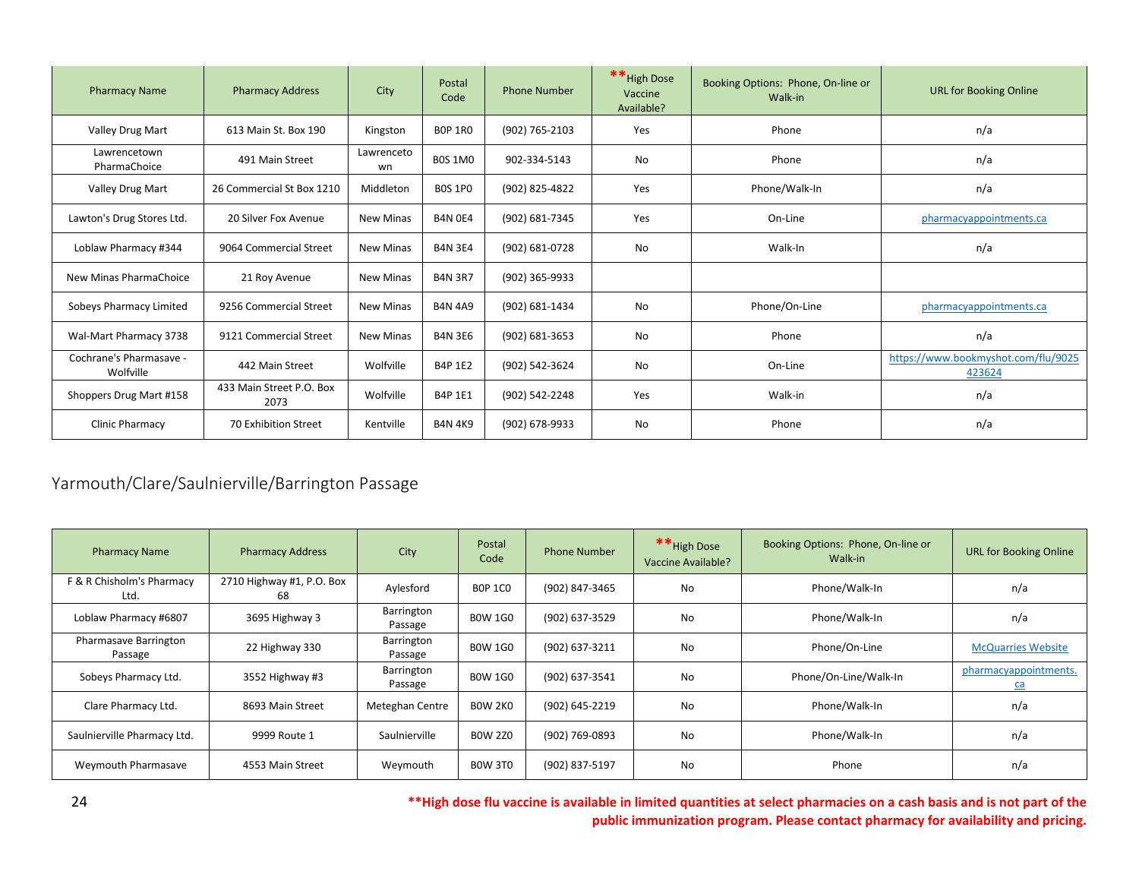| <b>Pharmacy Name</b>                 | <b>Pharmacy Address</b>          | City             | Postal<br>Code | <b>Phone Number</b> | ** High Dose<br>Vaccine<br>Available? | Booking Options: Phone, On-line or<br>Walk-in | <b>URL for Booking Online</b>                 |
|--------------------------------------|----------------------------------|------------------|----------------|---------------------|---------------------------------------|-----------------------------------------------|-----------------------------------------------|
| Valley Drug Mart                     | 613 Main St. Box 190             | Kingston         | <b>BOP 1RO</b> | (902) 765-2103      | Yes                                   | Phone                                         | n/a                                           |
| Lawrencetown<br>PharmaChoice         | 491 Main Street                  | Lawrenceto<br>wn | <b>BOS 1MO</b> | 902-334-5143        | No                                    | Phone                                         | n/a                                           |
| Valley Drug Mart                     | 26 Commercial St Box 1210        | Middleton        | <b>BOS 1PO</b> | (902) 825-4822      | Yes                                   | Phone/Walk-In                                 | n/a                                           |
| Lawton's Drug Stores Ltd.            | 20 Silver Fox Avenue             | <b>New Minas</b> | <b>B4N 0E4</b> | (902) 681-7345      | Yes                                   | On-Line                                       | pharmacyappointments.ca                       |
| Loblaw Pharmacy #344                 | 9064 Commercial Street           | <b>New Minas</b> | <b>B4N 3E4</b> | (902) 681-0728      | No                                    | Walk-In                                       | n/a                                           |
| New Minas PharmaChoice               | 21 Roy Avenue                    | <b>New Minas</b> | <b>B4N 3R7</b> | (902) 365-9933      |                                       |                                               |                                               |
| Sobeys Pharmacy Limited              | 9256 Commercial Street           | <b>New Minas</b> | <b>B4N 4A9</b> | (902) 681-1434      | No                                    | Phone/On-Line                                 | pharmacyappointments.ca                       |
| Wal-Mart Pharmacy 3738               | 9121 Commercial Street           | <b>New Minas</b> | <b>B4N 3E6</b> | (902) 681-3653      | No                                    | Phone                                         | n/a                                           |
| Cochrane's Pharmasave -<br>Wolfville | 442 Main Street                  | Wolfville        | B4P 1E2        | (902) 542-3624      | No                                    | On-Line                                       | https://www.bookmyshot.com/flu/9025<br>423624 |
| Shoppers Drug Mart #158              | 433 Main Street P.O. Box<br>2073 | Wolfville        | B4P 1E1        | (902) 542-2248      | Yes                                   | Walk-in                                       | n/a                                           |
| Clinic Pharmacy                      | 70 Exhibition Street             | Kentville        | <b>B4N 4K9</b> | (902) 678-9933      | No                                    | Phone                                         | n/a                                           |

# <span id="page-24-0"></span>Yarmouth/Clare/Saulnierville/Barrington Passage

| <b>Pharmacy Name</b>              | <b>Pharmacy Address</b>         | City                  | Postal<br>Code | <b>Phone Number</b> | ** High Dose<br>Vaccine Available? | Booking Options: Phone, On-line or<br>Walk-in | <b>URL for Booking Online</b> |
|-----------------------------------|---------------------------------|-----------------------|----------------|---------------------|------------------------------------|-----------------------------------------------|-------------------------------|
| F & R Chisholm's Pharmacy<br>Ltd. | 2710 Highway #1, P.O. Box<br>68 | Aylesford             | <b>BOP 1CO</b> | (902) 847-3465      | No                                 | Phone/Walk-In                                 | n/a                           |
| Loblaw Pharmacy #6807             | 3695 Highway 3                  | Barrington<br>Passage | <b>BOW 1GO</b> | (902) 637-3529      | No                                 | Phone/Walk-In                                 | n/a                           |
| Pharmasave Barrington<br>Passage  | 22 Highway 330                  | Barrington<br>Passage | <b>BOW 1GO</b> | (902) 637-3211      | No                                 | Phone/On-Line                                 | <b>McQuarries Website</b>     |
| Sobeys Pharmacy Ltd.              | 3552 Highway #3                 | Barrington<br>Passage | <b>BOW 1GO</b> | (902) 637-3541      | No                                 | Phone/On-Line/Walk-In                         | pharmacyappointments.<br>ca   |
| Clare Pharmacy Ltd.               | 8693 Main Street                | Meteghan Centre       | <b>BOW 2KO</b> | (902) 645-2219      | No                                 | Phone/Walk-In                                 | n/a                           |
| Saulnierville Pharmacy Ltd.       | 9999 Route 1                    | Saulnierville         | <b>BOW 2Z0</b> | (902) 769-0893      | No                                 | Phone/Walk-In                                 | n/a                           |
| Weymouth Pharmasave               | 4553 Main Street                | Weymouth              | <b>BOW 3TO</b> | (902) 837-5197      | No                                 | Phone                                         | n/a                           |